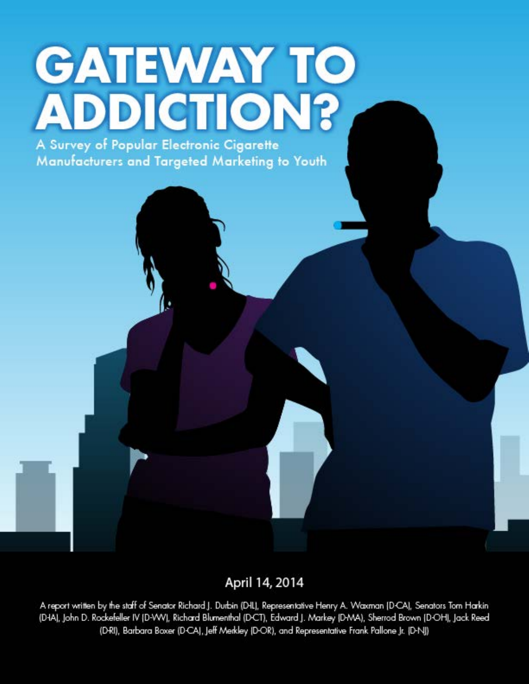# **GATEWAY TO ADDICTION?**

A Survey of Popular Electronic Cigarette Manufacturers and Targeted Marketing to Youth

April 14, 2014

A report written by the staff of Senator Richard J. Durbin (DHL), Representative Henry A. Waxman (D-CA), Senators Tom Harkin (D-IA), John D. Rockefeller IV (D-VVV), Richard Blumenthal (D-CT), Edward J. Markey (D-MA), Sherrod Brown (D-OH), Jack Reed (D-RI), Barbara Boxer (D-CA), Jeff Merkley (D-OR), and Representative Frank Pallone Jr. (D-NJ)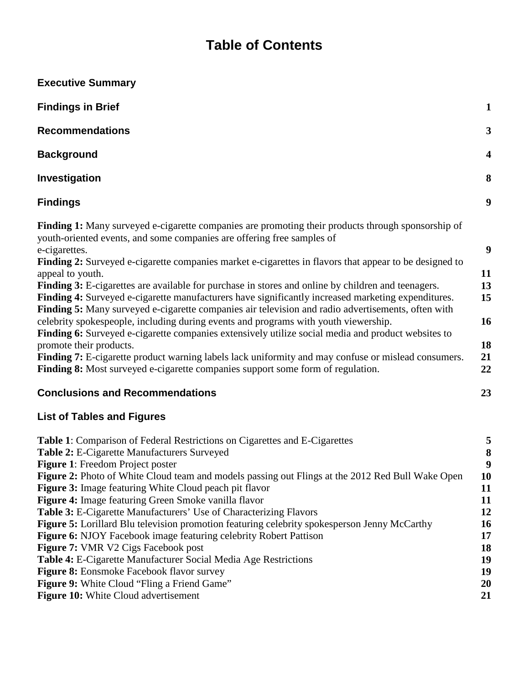## **Table of Contents**

| <b>Executive Summary</b>                                                                                                                                                                                                                                                                                                                                                                                                                                                                                                                                                                                                                                                                                                                                                                                                                                                                                                                                                                                                                                        |                                                            |
|-----------------------------------------------------------------------------------------------------------------------------------------------------------------------------------------------------------------------------------------------------------------------------------------------------------------------------------------------------------------------------------------------------------------------------------------------------------------------------------------------------------------------------------------------------------------------------------------------------------------------------------------------------------------------------------------------------------------------------------------------------------------------------------------------------------------------------------------------------------------------------------------------------------------------------------------------------------------------------------------------------------------------------------------------------------------|------------------------------------------------------------|
| <b>Findings in Brief</b>                                                                                                                                                                                                                                                                                                                                                                                                                                                                                                                                                                                                                                                                                                                                                                                                                                                                                                                                                                                                                                        | $\mathbf{1}$                                               |
| <b>Recommendations</b>                                                                                                                                                                                                                                                                                                                                                                                                                                                                                                                                                                                                                                                                                                                                                                                                                                                                                                                                                                                                                                          | $\mathbf{3}$                                               |
| <b>Background</b>                                                                                                                                                                                                                                                                                                                                                                                                                                                                                                                                                                                                                                                                                                                                                                                                                                                                                                                                                                                                                                               | $\overline{\mathbf{4}}$                                    |
| Investigation                                                                                                                                                                                                                                                                                                                                                                                                                                                                                                                                                                                                                                                                                                                                                                                                                                                                                                                                                                                                                                                   | 8                                                          |
| <b>Findings</b>                                                                                                                                                                                                                                                                                                                                                                                                                                                                                                                                                                                                                                                                                                                                                                                                                                                                                                                                                                                                                                                 | $\boldsymbol{9}$                                           |
| Finding 1: Many surveyed e-cigarette companies are promoting their products through sponsorship of<br>youth-oriented events, and some companies are offering free samples of<br>e-cigarettes.<br>Finding 2: Surveyed e-cigarette companies market e-cigarettes in flavors that appear to be designed to<br>appeal to youth.<br>Finding 3: E-cigarettes are available for purchase in stores and online by children and teenagers.<br>Finding 4: Surveyed e-cigarette manufacturers have significantly increased marketing expenditures.<br>Finding 5: Many surveyed e-cigarette companies air television and radio advertisements, often with<br>celebrity spokespeople, including during events and programs with youth viewership.<br>Finding 6: Surveyed e-cigarette companies extensively utilize social media and product websites to<br>promote their products.<br>Finding 7: E-cigarette product warning labels lack uniformity and may confuse or mislead consumers.<br>Finding 8: Most surveyed e-cigarette companies support some form of regulation. | $\boldsymbol{9}$<br>11<br>13<br>15<br>16<br>18<br>21<br>22 |
| <b>Conclusions and Recommendations</b>                                                                                                                                                                                                                                                                                                                                                                                                                                                                                                                                                                                                                                                                                                                                                                                                                                                                                                                                                                                                                          | 23                                                         |
| <b>List of Tables and Figures</b>                                                                                                                                                                                                                                                                                                                                                                                                                                                                                                                                                                                                                                                                                                                                                                                                                                                                                                                                                                                                                               |                                                            |
| Table 1: Comparison of Federal Restrictions on Cigarettes and E-Cigarettes<br><b>Table ?:</b> E-Cigarette Manufacturers Surveyed                                                                                                                                                                                                                                                                                                                                                                                                                                                                                                                                                                                                                                                                                                                                                                                                                                                                                                                                | 5<br>Q                                                     |

**Table 2:** E-Cigarette Manufacturers Surveyed **8 Figure 1**: Freedom Project poster **9 Figure 2:** Photo of White Cloud team and models passing out Flings at the 2012 Red Bull Wake Open 10 **Figure 3:** Image featuring White Cloud peach pit flavor **11 Figure 4:** Image featuring Green Smoke vanilla flavor **11 Table 3:** E-Cigarette Manufacturers' Use of Characterizing Flavors **12 Figure 5:** Lorillard Blu television promotion featuring celebrity spokesperson Jenny McCarthy **16 Figure 6:** NJOY Facebook image featuring celebrity Robert Pattison **17 Figure 7:** VMR V2 Cigs Facebook post **18 Table 4:** E-Cigarette Manufacturer Social Media Age Restrictions **19 Figure 8:** Eonsmoke Facebook flavor survey **19 Figure 9:** White Cloud "Fling a Friend Game" **20 Figure 10:** White Cloud advertisement **21**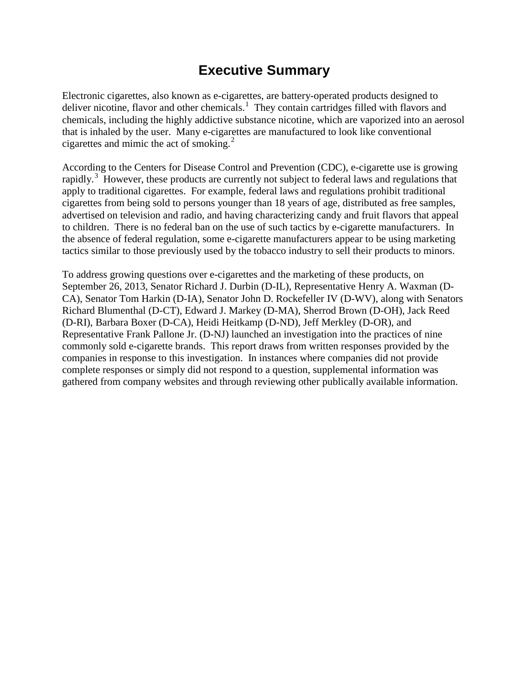## **Executive Summary**

Electronic cigarettes, also known as e-cigarettes, are battery-operated products designed to deliver nicotine, flavor and other chemicals.<sup>[1](#page-39-0)</sup> They contain cartridges filled with flavors and chemicals, including the highly addictive substance nicotine, which are vaporized into an aerosol that is inhaled by the user. Many e-cigarettes are manufactured to look like conventional cigarettes and mimic the act of smoking. $2$ 

According to the Centers for Disease Control and Prevention (CDC), e-cigarette use is growing rapidly.<sup>[3](#page-39-2)</sup> However, these products are currently not subject to federal laws and regulations that apply to traditional cigarettes. For example, federal laws and regulations prohibit traditional cigarettes from being sold to persons younger than 18 years of age, distributed as free samples, advertised on television and radio, and having characterizing candy and fruit flavors that appeal to children. There is no federal ban on the use of such tactics by e-cigarette manufacturers. In the absence of federal regulation, some e-cigarette manufacturers appear to be using marketing tactics similar to those previously used by the tobacco industry to sell their products to minors.

To address growing questions over e-cigarettes and the marketing of these products, on September 26, 2013, Senator Richard J. Durbin (D-IL), Representative Henry A. Waxman (D-CA), Senator Tom Harkin (D-IA), Senator John D. Rockefeller IV (D-WV), along with Senators Richard Blumenthal (D-CT), Edward J. Markey (D-MA), Sherrod Brown (D-OH), Jack Reed (D-RI), Barbara Boxer (D-CA), Heidi Heitkamp (D-ND), Jeff Merkley (D-OR), and Representative Frank Pallone Jr. (D-NJ) launched an investigation into the practices of nine commonly sold e-cigarette brands. This report draws from written responses provided by the companies in response to this investigation. In instances where companies did not provide complete responses or simply did not respond to a question, supplemental information was gathered from company websites and through reviewing other publically available information.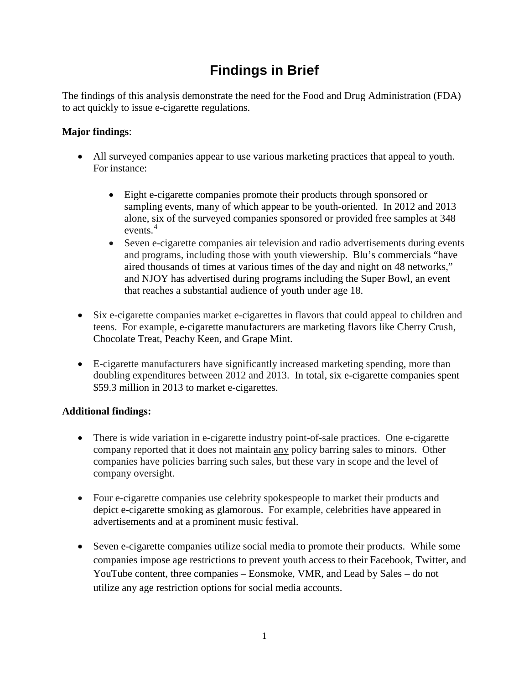## **Findings in Brief**

The findings of this analysis demonstrate the need for the Food and Drug Administration (FDA) to act quickly to issue e-cigarette regulations.

#### **Major findings**:

- All surveyed companies appear to use various marketing practices that appeal to youth. For instance:
	- Eight e-cigarette companies promote their products through sponsored or sampling events, many of which appear to be youth-oriented. In 2012 and 2013 alone, six of the surveyed companies sponsored or provided free samples at 348 events. [4](#page-39-3)
	- Seven e-cigarette companies air television and radio advertisements during events and programs, including those with youth viewership. Blu's commercials "have aired thousands of times at various times of the day and night on 48 networks," and NJOY has advertised during programs including the Super Bowl, an event that reaches a substantial audience of youth under age 18.
- Six e-cigarette companies market e-cigarettes in flavors that could appeal to children and teens. For example, e-cigarette manufacturers are marketing flavors like Cherry Crush, Chocolate Treat, Peachy Keen, and Grape Mint.
- E-cigarette manufacturers have significantly increased marketing spending, more than doubling expenditures between 2012 and 2013. In total, six e-cigarette companies spent \$59.3 million in 2013 to market e-cigarettes.

#### **Additional findings:**

- There is wide variation in e-cigarette industry point-of-sale practices. One e-cigarette company reported that it does not maintain any policy barring sales to minors. Other companies have policies barring such sales, but these vary in scope and the level of company oversight.
- Four e-cigarette companies use celebrity spokespeople to market their products and depict e-cigarette smoking as glamorous. For example, celebrities have appeared in advertisements and at a prominent music festival.
- Seven e-cigarette companies utilize social media to promote their products. While some companies impose age restrictions to prevent youth access to their Facebook, Twitter, and YouTube content, three companies – Eonsmoke, VMR, and Lead by Sales – do not utilize any age restriction options for social media accounts.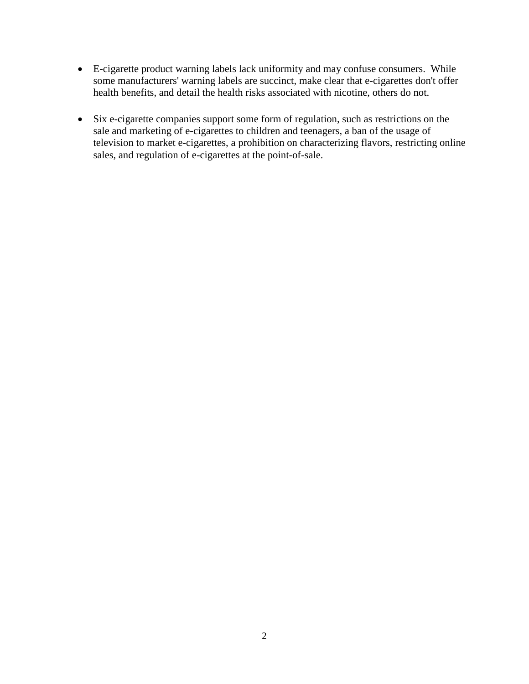- E-cigarette product warning labels lack uniformity and may confuse consumers. While some manufacturers' warning labels are succinct, make clear that e-cigarettes don't offer health benefits, and detail the health risks associated with nicotine, others do not.
- Six e-cigarette companies support some form of regulation, such as restrictions on the sale and marketing of e-cigarettes to children and teenagers, a ban of the usage of television to market e-cigarettes, a prohibition on characterizing flavors, restricting online sales, and regulation of e-cigarettes at the point-of-sale.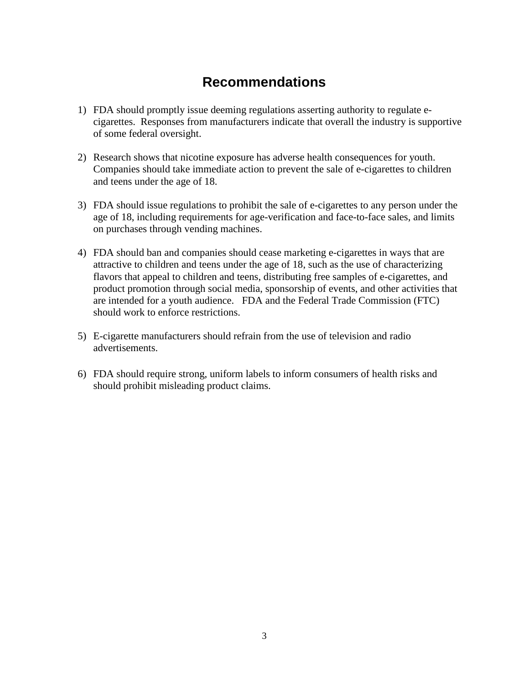## **Recommendations**

- 1) FDA should promptly issue deeming regulations asserting authority to regulate ecigarettes. Responses from manufacturers indicate that overall the industry is supportive of some federal oversight.
- 2) Research shows that nicotine exposure has adverse health consequences for youth. Companies should take immediate action to prevent the sale of e-cigarettes to children and teens under the age of 18.
- 3) FDA should issue regulations to prohibit the sale of e-cigarettes to any person under the age of 18, including requirements for age-verification and face-to-face sales, and limits on purchases through vending machines.
- 4) FDA should ban and companies should cease marketing e-cigarettes in ways that are attractive to children and teens under the age of 18, such as the use of characterizing flavors that appeal to children and teens, distributing free samples of e-cigarettes, and product promotion through social media, sponsorship of events, and other activities that are intended for a youth audience. FDA and the Federal Trade Commission (FTC) should work to enforce restrictions.
- 5) E-cigarette manufacturers should refrain from the use of television and radio advertisements.
- 6) FDA should require strong, uniform labels to inform consumers of health risks and should prohibit misleading product claims.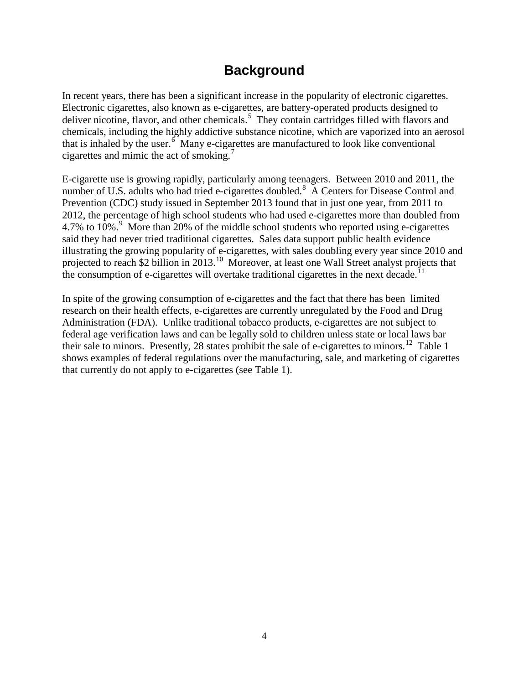## **Background**

In recent years, there has been a significant increase in the popularity of electronic cigarettes. Electronic cigarettes, also known as e-cigarettes, are battery-operated products designed to deliver nicotine, flavor, and other chemicals.<sup>[5](#page-40-0)</sup> They contain cartridges filled with flavors and chemicals, including the highly addictive substance nicotine, which are vaporized into an aerosol that is inhaled by the user. $6$  Many e-cigarettes are manufactured to look like conventional cigarettes and mimic the act of smoking.[7](#page-40-2)

E-cigarette use is growing rapidly, particularly among teenagers. Between 2010 and 2011, the number of U.S. adults who had tried e-cigarettes doubled.<sup>[8](#page-40-3)</sup> A Centers for Disease Control and Prevention (CDC) study issued in September 2013 found that in just one year, from 2011 to 2012, the percentage of high school students who had used e-cigarettes more than doubled from 4.7% to 10%.<sup>[9](#page-40-4)</sup> More than 20% of the middle school students who reported using e-cigarettes said they had never tried traditional cigarettes. Sales data support public health evidence illustrating the growing popularity of e-cigarettes, with sales doubling every year since 2010 and projected to reach \$2 billion in 2013.<sup>[10](#page-40-5)</sup> Moreover, at least one Wall Street analyst projects that the consumption of e-cigarettes will overtake traditional cigarettes in the next decade.<sup>[11](#page-40-6)</sup>

In spite of the growing consumption of e-cigarettes and the fact that there has been limited research on their health effects, e-cigarettes are currently unregulated by the Food and Drug Administration (FDA). Unlike traditional tobacco products, e-cigarettes are not subject to federal age verification laws and can be legally sold to children unless state or local laws bar their sale to minors. Presently, 28 states prohibit the sale of e-cigarettes to minors.<sup>[12](#page-40-7)</sup> Table 1 shows examples of federal regulations over the manufacturing, sale, and marketing of cigarettes that currently do not apply to e-cigarettes (see Table 1).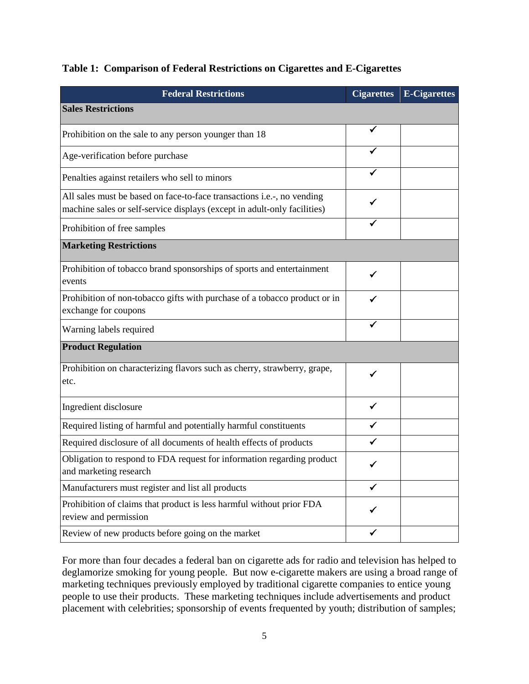|  |  |  |  |  | Table 1: Comparison of Federal Restrictions on Cigarettes and E-Cigarettes |
|--|--|--|--|--|----------------------------------------------------------------------------|
|--|--|--|--|--|----------------------------------------------------------------------------|

| <b>Federal Restrictions</b>                                                                                                                        | <b>Cigarettes</b> | <b>E-Cigarettes</b> |
|----------------------------------------------------------------------------------------------------------------------------------------------------|-------------------|---------------------|
| <b>Sales Restrictions</b>                                                                                                                          |                   |                     |
| Prohibition on the sale to any person younger than 18                                                                                              | ✓                 |                     |
| Age-verification before purchase                                                                                                                   |                   |                     |
| Penalties against retailers who sell to minors                                                                                                     |                   |                     |
| All sales must be based on face-to-face transactions i.e.-, no vending<br>machine sales or self-service displays (except in adult-only facilities) |                   |                     |
| Prohibition of free samples                                                                                                                        |                   |                     |
| <b>Marketing Restrictions</b>                                                                                                                      |                   |                     |
| Prohibition of tobacco brand sponsorships of sports and entertainment<br>events                                                                    | ✓                 |                     |
| Prohibition of non-tobacco gifts with purchase of a tobacco product or in<br>exchange for coupons                                                  |                   |                     |
| Warning labels required                                                                                                                            |                   |                     |
| <b>Product Regulation</b>                                                                                                                          |                   |                     |
| Prohibition on characterizing flavors such as cherry, strawberry, grape,<br>etc.                                                                   | ✓                 |                     |
| Ingredient disclosure                                                                                                                              | ✔                 |                     |
| Required listing of harmful and potentially harmful constituents                                                                                   | ✓                 |                     |
| Required disclosure of all documents of health effects of products                                                                                 |                   |                     |
| Obligation to respond to FDA request for information regarding product<br>and marketing research                                                   |                   |                     |
| Manufacturers must register and list all products                                                                                                  | $\checkmark$      |                     |
| Prohibition of claims that product is less harmful without prior FDA<br>review and permission                                                      |                   |                     |
| Review of new products before going on the market                                                                                                  | ✓                 |                     |

For more than four decades a federal ban on cigarette ads for radio and television has helped to deglamorize smoking for young people. But now e-cigarette makers are using a broad range of marketing techniques previously employed by traditional cigarette companies to entice young people to use their products. These marketing techniques include advertisements and product placement with celebrities; sponsorship of events frequented by youth; distribution of samples;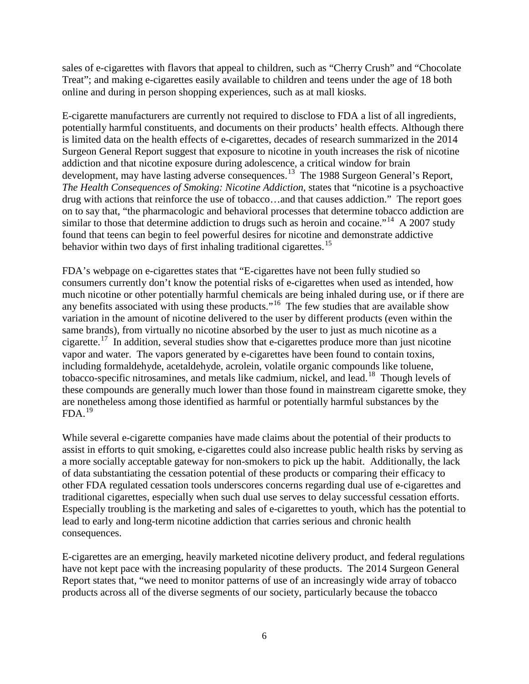sales of e-cigarettes with flavors that appeal to children, such as "Cherry Crush" and "Chocolate Treat"; and making e-cigarettes easily available to children and teens under the age of 18 both online and during in person shopping experiences, such as at mall kiosks.

E-cigarette manufacturers are currently not required to disclose to FDA a list of all ingredients, potentially harmful constituents, and documents on their products' health effects. Although there is limited data on the health effects of e-cigarettes, decades of research summarized in the 2014 Surgeon General Report suggest that exposure to nicotine in youth increases the risk of nicotine addiction and that nicotine exposure during adolescence, a critical window for brain development, may have lasting adverse consequences.<sup>[13](#page-41-0)</sup> The 1988 Surgeon General's Report, *The Health Consequences of Smoking: Nicotine Addiction*, states that "nicotine is a psychoactive drug with actions that reinforce the use of tobacco…and that causes addiction." The report goes on to say that, "the pharmacologic and behavioral processes that determine tobacco addiction are similar to those that determine addiction to drugs such as heroin and cocaine."<sup>[14](#page-41-1)</sup> A 2007 study found that teens can begin to feel powerful desires for nicotine and demonstrate addictive behavior within two days of first inhaling traditional cigarettes.<sup>[15](#page-41-2)</sup>

FDA's webpage on e-cigarettes states that "E-cigarettes have not been fully studied so consumers currently don't know the potential risks of e-cigarettes when used as intended, how much nicotine or other potentially harmful chemicals are being inhaled during use, or if there are any benefits associated with using these products."<sup>[16](#page-41-3)</sup> The few studies that are available show variation in the amount of nicotine delivered to the user by different products (even within the same brands), from virtually no nicotine absorbed by the user to just as much nicotine as a cigarette.<sup>[17](#page-41-4)</sup> In addition, several studies show that e-cigarettes produce more than just nicotine vapor and water. The vapors generated by e-cigarettes have been found to contain toxins, including formaldehyde, acetaldehyde, acrolein, volatile organic compounds like toluene, tobacco-specific nitrosamines, and metals like cadmium, nickel, and lead.[18](#page-41-5) Though levels of these compounds are generally much lower than those found in mainstream cigarette smoke, they are nonetheless among those identified as harmful or potentially harmful substances by the  $FDA.<sup>19</sup>$  $FDA.<sup>19</sup>$  $FDA.<sup>19</sup>$ 

While several e-cigarette companies have made claims about the potential of their products to assist in efforts to quit smoking, e-cigarettes could also increase public health risks by serving as a more socially acceptable gateway for non-smokers to pick up the habit. Additionally, the lack of data substantiating the cessation potential of these products or comparing their efficacy to other FDA regulated cessation tools underscores concerns regarding dual use of e-cigarettes and traditional cigarettes, especially when such dual use serves to delay successful cessation efforts. Especially troubling is the marketing and sales of e-cigarettes to youth, which has the potential to lead to early and long-term nicotine addiction that carries serious and chronic health consequences.

E-cigarettes are an emerging, heavily marketed nicotine delivery product, and federal regulations have not kept pace with the increasing popularity of these products. The 2014 Surgeon General Report states that, "we need to monitor patterns of use of an increasingly wide array of tobacco products across all of the diverse segments of our society, particularly because the tobacco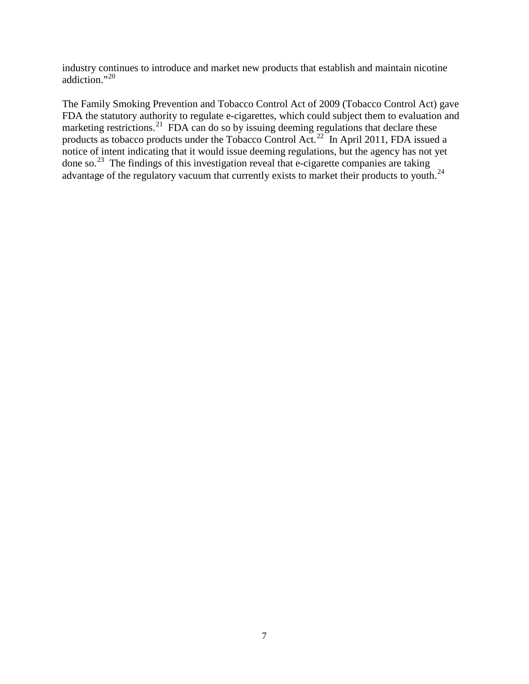industry continues to introduce and market new products that establish and maintain nicotine addiction."<sup>[20](#page-42-0)</sup>

The Family Smoking Prevention and Tobacco Control Act of 2009 (Tobacco Control Act) gave FDA the statutory authority to regulate e-cigarettes, which could subject them to evaluation and marketing restrictions.<sup>[21](#page-42-1)</sup> FDA can do so by issuing deeming regulations that declare these products as tobacco products under the Tobacco Control Act.<sup>[22](#page-42-2)</sup> In April 2011, FDA issued a notice of intent indicating that it would issue deeming regulations, but the agency has not yet done so.[23](#page-42-3) The findings of this investigation reveal that e-cigarette companies are taking advantage of the regulatory vacuum that currently exists to market their products to youth.<sup>[24](#page-42-4)</sup>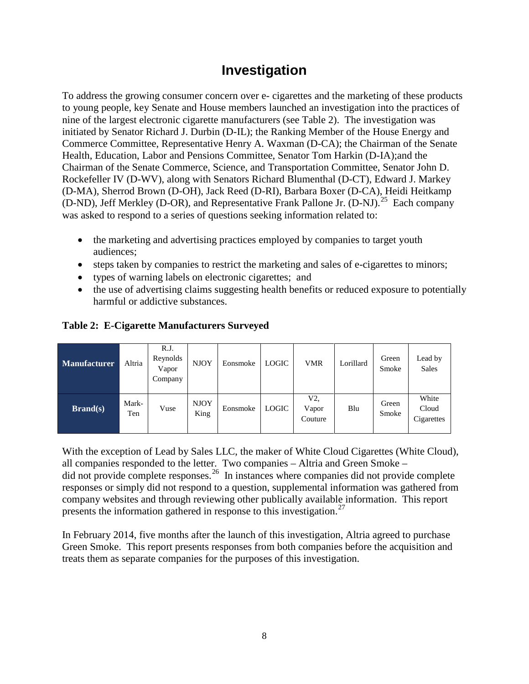## **Investigation**

To address the growing consumer concern over e- cigarettes and the marketing of these products to young people, key Senate and House members launched an investigation into the practices of nine of the largest electronic cigarette manufacturers (see Table 2). The investigation was initiated by Senator Richard J. Durbin (D-IL); the Ranking Member of the House Energy and Commerce Committee, Representative Henry A. Waxman (D-CA); the Chairman of the Senate Health, Education, Labor and Pensions Committee, Senator Tom Harkin (D-IA);and the Chairman of the Senate Commerce, Science, and Transportation Committee, Senator John D. Rockefeller IV (D-WV), along with Senators Richard Blumenthal (D-CT), Edward J. Markey (D-MA), Sherrod Brown (D-OH), Jack Reed (D-RI), Barbara Boxer (D-CA), Heidi Heitkamp (D-ND), Jeff Merkley (D-OR), and Representative Frank Pallone Jr. (D-NJ).<sup>[25](#page-42-5)</sup> Each company was asked to respond to a series of questions seeking information related to:

- the marketing and advertising practices employed by companies to target youth audiences;
- steps taken by companies to restrict the marketing and sales of e-cigarettes to minors;
- types of warning labels on electronic cigarettes; and
- the use of advertising claims suggesting health benefits or reduced exposure to potentially harmful or addictive substances.

#### **Table 2: E-Cigarette Manufacturers Surveyed**

| <b>Manufacturer</b> | Altria       | R.J.<br>Reynolds<br>Vapor<br>Company | <b>NJOY</b>         | Eonsmoke | <b>LOGIC</b> | <b>VMR</b>             | Lorillard | Green<br>Smoke | Lead by<br><b>Sales</b>      |
|---------------------|--------------|--------------------------------------|---------------------|----------|--------------|------------------------|-----------|----------------|------------------------------|
| <b>Brand(s)</b>     | Mark-<br>Ten | Vuse                                 | <b>NJOY</b><br>King | Eonsmoke | <b>LOGIC</b> | V2<br>Vapor<br>Couture | Blu       | Green<br>Smoke | White<br>Cloud<br>Cigarettes |

With the exception of Lead by Sales LLC, the maker of White Cloud Cigarettes (White Cloud), all companies responded to the letter. Two companies – Altria and Green Smoke – did not provide complete responses.<sup>[26](#page-42-6)</sup> In instances where companies did not provide complete responses or simply did not respond to a question, supplemental information was gathered from company websites and through reviewing other publically available information. This report presents the information gathered in response to this investigation.<sup>[27](#page-42-7)</sup>

In February 2014, five months after the launch of this investigation, Altria agreed to purchase Green Smoke. This report presents responses from both companies before the acquisition and treats them as separate companies for the purposes of this investigation.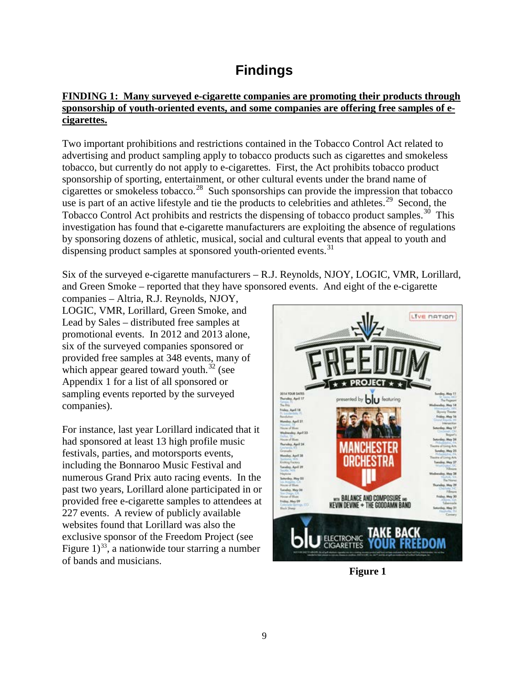## **Findings**

#### **FINDING 1: Many surveyed e-cigarette companies are promoting their products through sponsorship of youth-oriented events, and some companies are offering free samples of ecigarettes.**

Two important prohibitions and restrictions contained in the Tobacco Control Act related to advertising and product sampling apply to tobacco products such as cigarettes and smokeless tobacco, but currently do not apply to e-cigarettes. First, the Act prohibits tobacco product sponsorship of sporting, entertainment, or other cultural events under the brand name of cigarettes or smokeless tobacco. [28](#page-42-8) Such sponsorships can provide the impression that tobacco use is part of an active lifestyle and tie the products to celebrities and athletes.<sup>[29](#page-42-9)</sup> Second, the Tobacco Control Act prohibits and restricts the dispensing of tobacco product samples.<sup>[30](#page-42-10)</sup> This investigation has found that e-cigarette manufacturers are exploiting the absence of regulations by sponsoring dozens of athletic, musical, social and cultural events that appeal to youth and dispensing product samples at sponsored youth-oriented events.<sup>[31](#page-42-11)</sup>

Six of the surveyed e-cigarette manufacturers – R.J. Reynolds, NJOY, LOGIC, VMR, Lorillard, and Green Smoke – reported that they have sponsored events. And eight of the e-cigarette

companies – Altria, R.J. Reynolds, NJOY, LOGIC, VMR, Lorillard, Green Smoke, and Lead by Sales – distributed free samples at promotional events. In 2012 and 2013 alone, six of the surveyed companies sponsored or provided free samples at 348 events, many of which appear geared toward youth.<sup>[32](#page-42-12)</sup> (see Appendix 1 for a list of all sponsored or sampling events reported by the surveyed companies).

For instance, last year Lorillard indicated that it had sponsored at least 13 high profile music festivals, parties, and motorsports events, including the Bonnaroo Music Festival and numerous Grand Prix auto racing events. In the past two years, Lorillard alone participated in or provided free e-cigarette samples to attendees at 227 events. A review of publicly available websites found that Lorillard was also the exclusive sponsor of the Freedom Project (see Figure  $1)^{33}$ , a nationwide tour starring a number of bands and musicians.



**Figure 1**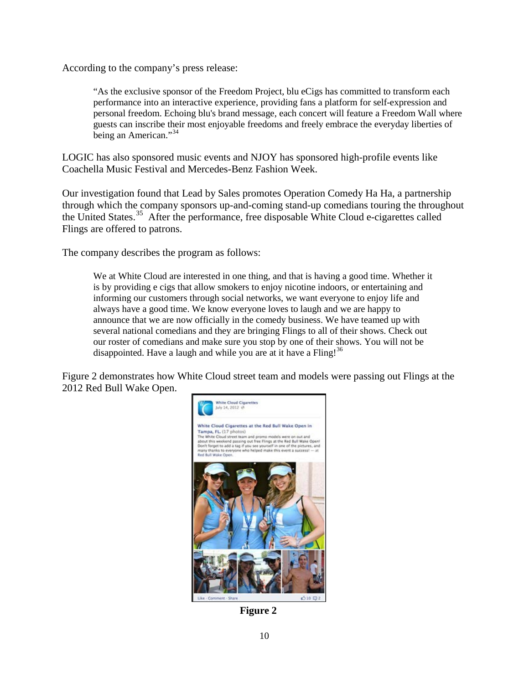According to the company's press release:

"As the exclusive sponsor of the Freedom Project, blu eCigs has committed to transform each performance into an interactive experience, providing fans a platform for self-expression and personal freedom. Echoing blu's brand message, each concert will feature a Freedom Wall where guests can inscribe their most enjoyable freedoms and freely embrace the everyday liberties of being an American."<sup>[34](#page-42-14)</sup>

LOGIC has also sponsored music events and NJOY has sponsored high-profile events like Coachella Music Festival and Mercedes-Benz Fashion Week.

Our investigation found that Lead by Sales promotes Operation Comedy Ha Ha, a partnership through which the company sponsors up-and-coming stand-up comedians touring the throughout the United States.<sup>[35](#page-42-15)</sup> After the performance, free disposable White Cloud e-cigarettes called Flings are offered to patrons.

The company describes the program as follows:

We at White Cloud are interested in one thing, and that is having a good time. Whether it is by providing e cigs that allow smokers to enjoy nicotine indoors, or entertaining and informing our customers through social networks, we want everyone to enjoy life and always have a good time. We know everyone loves to laugh and we are happy to announce that we are now officially in the comedy business. We have teamed up with several national comedians and they are bringing Flings to all of their shows. Check out our roster of comedians and make sure you stop by one of their shows. You will not be disappointed. Have a laugh and while you are at it have a  $\text{Fling}$ !<sup>[36](#page-42-16)</sup>

Figure 2 demonstrates how White Cloud street team and models were passing out Flings at the 2012 Red Bull Wake Open.



**Figure 2**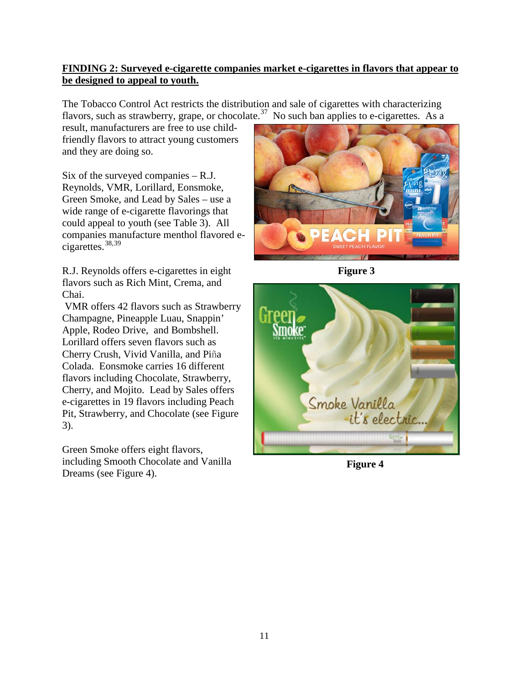#### **FINDING 2: Surveyed e-cigarette companies market e-cigarettes in flavors that appear to be designed to appeal to youth.**

The Tobacco Control Act restricts the distribution and sale of cigarettes with characterizing flavors, such as strawberry, grape, or chocolate.<sup>[37](#page-42-17)</sup> No such ban applies to e-cigarettes. As a

result, manufacturers are free to use childfriendly flavors to attract young customers and they are doing so.

Six of the surveyed companies – R.J. Reynolds, VMR, Lorillard, Eonsmoke, Green Smoke, and Lead by Sales – use a wide range of e-cigarette flavorings that could appeal to youth (see Table 3). All companies manufacture menthol flavored ecigarettes.[38,](#page-42-18)[39](#page-42-19)

R.J. Reynolds offers e-cigarettes in eight flavors such as Rich Mint, Crema, and Chai.

VMR offers 42 flavors such as Strawberry Champagne, Pineapple Luau, Snappin' Apple, Rodeo Drive, and Bombshell. Lorillard offers seven flavors such as Cherry Crush, Vivid Vanilla, and Piña Colada. Eonsmoke carries 16 different flavors including Chocolate, Strawberry, Cherry, and Mojito. Lead by Sales offers e-cigarettes in 19 flavors including Peach Pit, Strawberry, and Chocolate (see Figure 3).

Green Smoke offers eight flavors, including Smooth Chocolate and Vanilla Dreams (see Figure 4).



**Figure 3**



**Figure 4**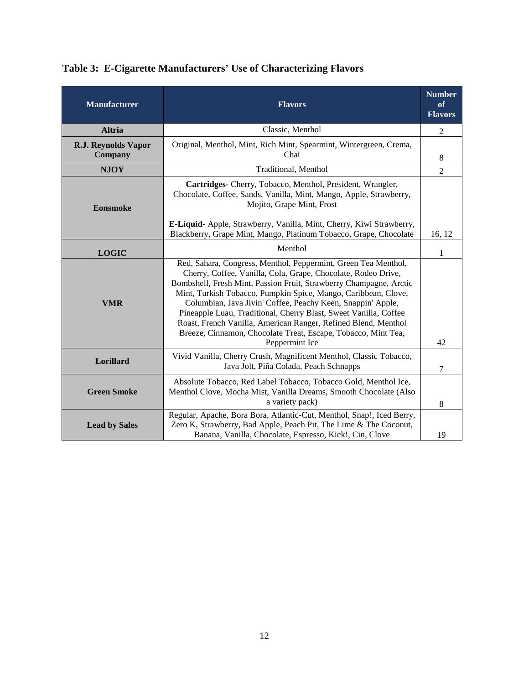| <b>Manufacturer</b>            | <b>Number</b><br><b>Flavors</b><br><b>Flavors</b>                                                                                                                                                                                                                                                                                                                                                                                                                                                                                                               |                |
|--------------------------------|-----------------------------------------------------------------------------------------------------------------------------------------------------------------------------------------------------------------------------------------------------------------------------------------------------------------------------------------------------------------------------------------------------------------------------------------------------------------------------------------------------------------------------------------------------------------|----------------|
| <b>Altria</b>                  | Classic, Menthol                                                                                                                                                                                                                                                                                                                                                                                                                                                                                                                                                | $\overline{2}$ |
| R.J. Reynolds Vapor<br>Company | Original, Menthol, Mint, Rich Mint, Spearmint, Wintergreen, Crema,<br>Chai                                                                                                                                                                                                                                                                                                                                                                                                                                                                                      | 8              |
| <b>NJOY</b>                    | Traditional, Menthol                                                                                                                                                                                                                                                                                                                                                                                                                                                                                                                                            | $\overline{c}$ |
| <b>Eonsmoke</b>                | Cartridges- Cherry, Tobacco, Menthol, President, Wrangler,<br>Chocolate, Coffee, Sands, Vanilla, Mint, Mango, Apple, Strawberry,<br>Mojito, Grape Mint, Frost<br>E-Liquid- Apple, Strawberry, Vanilla, Mint, Cherry, Kiwi Strawberry,                                                                                                                                                                                                                                                                                                                           |                |
|                                | Blackberry, Grape Mint, Mango, Platinum Tobacco, Grape, Chocolate                                                                                                                                                                                                                                                                                                                                                                                                                                                                                               | 16, 12         |
| <b>LOGIC</b>                   | Menthol                                                                                                                                                                                                                                                                                                                                                                                                                                                                                                                                                         | 1              |
| <b>VMR</b>                     | Red, Sahara, Congress, Menthol, Peppermint, Green Tea Menthol,<br>Cherry, Coffee, Vanilla, Cola, Grape, Chocolate, Rodeo Drive,<br>Bombshell, Fresh Mint, Passion Fruit, Strawberry Champagne, Arctic<br>Mint, Turkish Tobacco, Pumpkin Spice, Mango, Caribbean, Clove,<br>Columbian, Java Jivin' Coffee, Peachy Keen, Snappin' Apple,<br>Pineapple Luau, Traditional, Cherry Blast, Sweet Vanilla, Coffee<br>Roast, French Vanilla, American Ranger, Refined Blend, Menthol<br>Breeze, Cinnamon, Chocolate Treat, Escape, Tobacco, Mint Tea,<br>Peppermint Ice | 42             |
| Lorillard                      | Vivid Vanilla, Cherry Crush, Magnificent Menthol, Classic Tobacco,<br>Java Jolt, Piña Colada, Peach Schnapps                                                                                                                                                                                                                                                                                                                                                                                                                                                    | 7              |
| <b>Green Smoke</b>             | Absolute Tobacco, Red Label Tobacco, Tobacco Gold, Menthol Ice,<br>Menthol Clove, Mocha Mist, Vanilla Dreams, Smooth Chocolate (Also<br>a variety pack)                                                                                                                                                                                                                                                                                                                                                                                                         | 8              |
| <b>Lead by Sales</b>           | Regular, Apache, Bora Bora, Atlantic-Cut, Menthol, Snap!, Iced Berry,<br>Zero K, Strawberry, Bad Apple, Peach Pit, The Lime & The Coconut,<br>Banana, Vanilla, Chocolate, Espresso, Kick!, Cin, Clove                                                                                                                                                                                                                                                                                                                                                           | 19             |

### **Table 3: E-Cigarette Manufacturers' Use of Characterizing Flavors**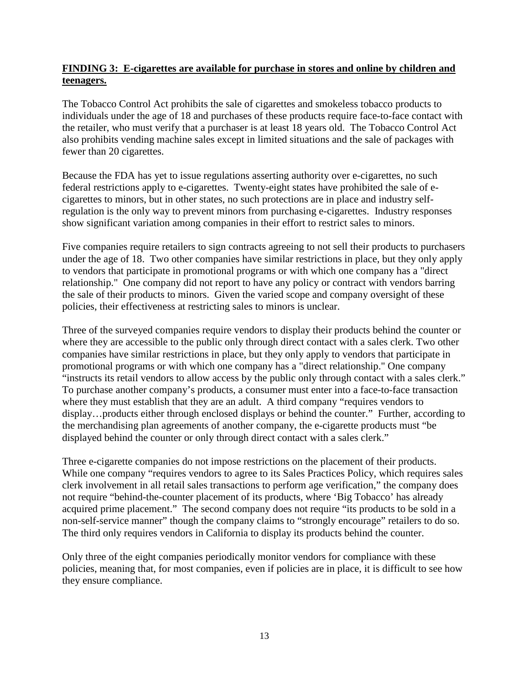#### **FINDING 3: E-cigarettes are available for purchase in stores and online by children and teenagers.**

The Tobacco Control Act prohibits the sale of cigarettes and smokeless tobacco products to individuals under the age of 18 and purchases of these products require face-to-face contact with the retailer, who must verify that a purchaser is at least 18 years old. The Tobacco Control Act also prohibits vending machine sales except in limited situations and the sale of packages with fewer than 20 cigarettes.

Because the FDA has yet to issue regulations asserting authority over e-cigarettes, no such federal restrictions apply to e-cigarettes. Twenty-eight states have prohibited the sale of ecigarettes to minors, but in other states, no such protections are in place and industry selfregulation is the only way to prevent minors from purchasing e-cigarettes. Industry responses show significant variation among companies in their effort to restrict sales to minors.

Five companies require retailers to sign contracts agreeing to not sell their products to purchasers under the age of 18. Two other companies have similar restrictions in place, but they only apply to vendors that participate in promotional programs or with which one company has a "direct relationship." One company did not report to have any policy or contract with vendors barring the sale of their products to minors. Given the varied scope and company oversight of these policies, their effectiveness at restricting sales to minors is unclear.

Three of the surveyed companies require vendors to display their products behind the counter or where they are accessible to the public only through direct contact with a sales clerk. Two other companies have similar restrictions in place, but they only apply to vendors that participate in promotional programs or with which one company has a "direct relationship." One company "instructs its retail vendors to allow access by the public only through contact with a sales clerk." To purchase another company's products, a consumer must enter into a face-to-face transaction where they must establish that they are an adult. A third company "requires vendors to display…products either through enclosed displays or behind the counter." Further, according to the merchandising plan agreements of another company, the e-cigarette products must "be displayed behind the counter or only through direct contact with a sales clerk."

Three e-cigarette companies do not impose restrictions on the placement of their products. While one company "requires vendors to agree to its Sales Practices Policy, which requires sales clerk involvement in all retail sales transactions to perform age verification," the company does not require "behind-the-counter placement of its products, where 'Big Tobacco' has already acquired prime placement." The second company does not require "its products to be sold in a non-self-service manner" though the company claims to "strongly encourage" retailers to do so. The third only requires vendors in California to display its products behind the counter.

Only three of the eight companies periodically monitor vendors for compliance with these policies, meaning that, for most companies, even if policies are in place, it is difficult to see how they ensure compliance.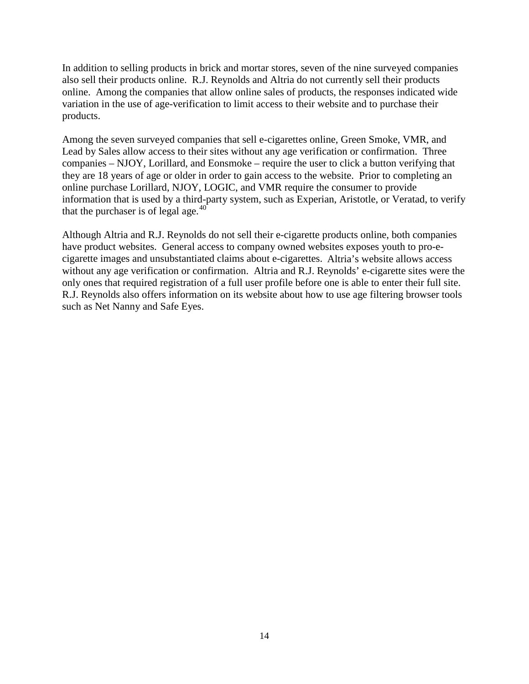In addition to selling products in brick and mortar stores, seven of the nine surveyed companies also sell their products online. R.J. Reynolds and Altria do not currently sell their products online. Among the companies that allow online sales of products, the responses indicated wide variation in the use of age-verification to limit access to their website and to purchase their products.

Among the seven surveyed companies that sell e-cigarettes online, Green Smoke, VMR, and Lead by Sales allow access to their sites without any age verification or confirmation. Three companies – NJOY, Lorillard, and Eonsmoke – require the user to click a button verifying that they are 18 years of age or older in order to gain access to the website. Prior to completing an online purchase Lorillard, NJOY, LOGIC, and VMR require the consumer to provide information that is used by a third-party system, such as Experian, Aristotle, or Veratad, to verify that the purchaser is of legal age. $40^{\circ}$  $40^{\circ}$ 

Although Altria and R.J. Reynolds do not sell their e-cigarette products online, both companies have product websites. General access to company owned websites exposes youth to pro-ecigarette images and unsubstantiated claims about e-cigarettes. Altria's website allows access without any age verification or confirmation. Altria and R.J. Reynolds' e-cigarette sites were the only ones that required registration of a full user profile before one is able to enter their full site. R.J. Reynolds also offers information on its website about how to use age filtering browser tools such as Net Nanny and Safe Eyes.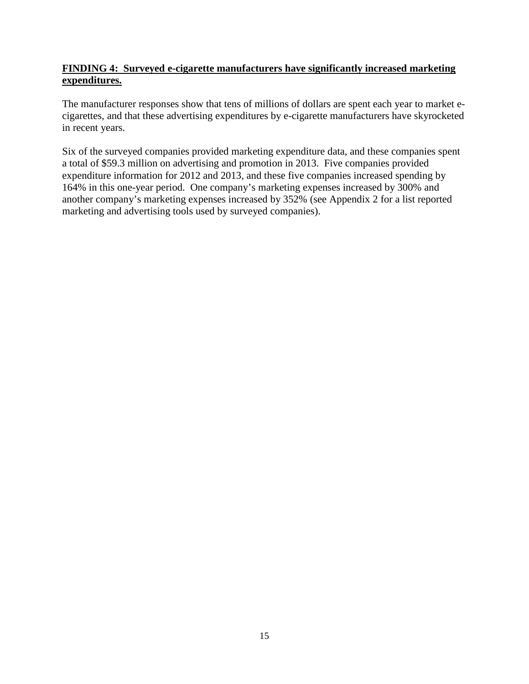#### **FINDING 4: Surveyed e-cigarette manufacturers have significantly increased marketing expenditures.**

The manufacturer responses show that tens of millions of dollars are spent each year to market ecigarettes, and that these advertising expenditures by e-cigarette manufacturers have skyrocketed in recent years.

Six of the surveyed companies provided marketing expenditure data, and these companies spent a total of \$59.3 million on advertising and promotion in 2013. Five companies provided expenditure information for 2012 and 2013, and these five companies increased spending by 164% in this one-year period. One company's marketing expenses increased by 300% and another company's marketing expenses increased by 352% (see Appendix 2 for a list reported marketing and advertising tools used by surveyed companies).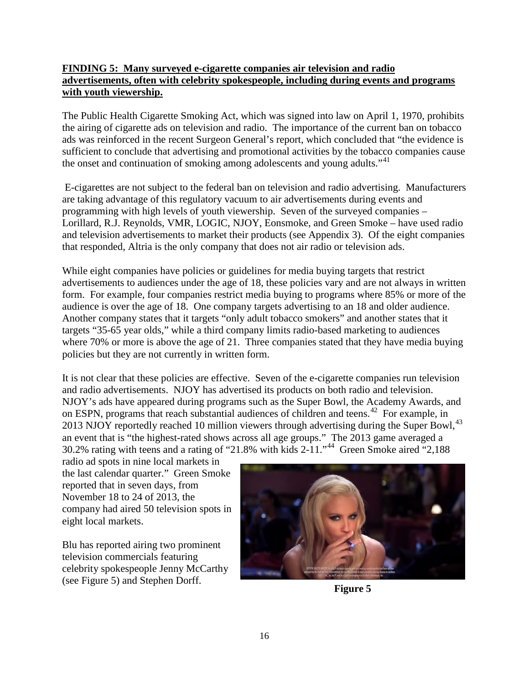#### **FINDING 5: Many surveyed e-cigarette companies air television and radio advertisements, often with celebrity spokespeople, including during events and programs with youth viewership.**

The Public Health Cigarette Smoking Act, which was signed into law on April 1, 1970, prohibits the airing of cigarette ads on television and radio. The importance of the current ban on tobacco ads was reinforced in the recent Surgeon General's report, which concluded that "the evidence is sufficient to conclude that advertising and promotional activities by the tobacco companies cause the onset and continuation of smoking among adolescents and young adults."<sup>[41](#page-42-21)</sup>

E-cigarettes are not subject to the federal ban on television and radio advertising. Manufacturers are taking advantage of this regulatory vacuum to air advertisements during events and programming with high levels of youth viewership. Seven of the surveyed companies – Lorillard, R.J. Reynolds, VMR, LOGIC, NJOY, Eonsmoke, and Green Smoke – have used radio and television advertisements to market their products (see Appendix 3). Of the eight companies that responded, Altria is the only company that does not air radio or television ads.

While eight companies have policies or guidelines for media buying targets that restrict advertisements to audiences under the age of 18, these policies vary and are not always in written form. For example, four companies restrict media buying to programs where 85% or more of the audience is over the age of 18. One company targets advertising to an 18 and older audience. Another company states that it targets "only adult tobacco smokers" and another states that it targets "35-65 year olds," while a third company limits radio-based marketing to audiences where 70% or more is above the age of 21. Three companies stated that they have media buying policies but they are not currently in written form.

It is not clear that these policies are effective. Seven of the e-cigarette companies run television and radio advertisements. NJOY has advertised its products on both radio and television. NJOY's ads have appeared during programs such as the Super Bowl, the Academy Awards, and on ESPN, programs that reach substantial audiences of children and teens.<sup>[42](#page-42-22)</sup> For example, in 2013 NJOY reportedly reached 10 million viewers through advertising during the Super Bowl,<sup>[43](#page-42-23)</sup> an event that is "the highest-rated shows across all age groups." The 2013 game averaged a 30.2% rating with teens and a rating of "21.8% with kids 2-11."[44](#page-42-24) Green Smoke aired "2,188

radio ad spots in nine local markets in the last calendar quarter." Green Smoke reported that in seven days, from November 18 to 24 of 2013, the company had aired 50 television spots in eight local markets.

Blu has reported airing two prominent television commercials featuring celebrity spokespeople Jenny McCarthy (see Figure 5) and Stephen Dorff. **Figure 5**

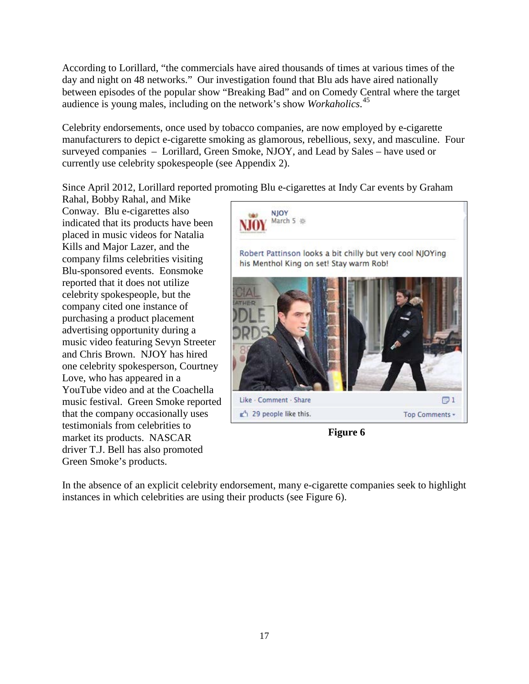According to Lorillard, "the commercials have aired thousands of times at various times of the day and night on 48 networks." Our investigation found that Blu ads have aired nationally between episodes of the popular show "Breaking Bad" and on Comedy Central where the target audience is young males, including on the network's show *Workaholics*. [45](#page-42-25)

Celebrity endorsements, once used by tobacco companies, are now employed by e-cigarette manufacturers to depict e-cigarette smoking as glamorous, rebellious, sexy, and masculine. Four surveyed companies – Lorillard, Green Smoke, NJOY, and Lead by Sales – have used or currently use celebrity spokespeople (see Appendix 2).

Since April 2012, Lorillard reported promoting Blu e-cigarettes at Indy Car events by Graham

Rahal, Bobby Rahal, and Mike Conway. Blu e-cigarettes also indicated that its products have been placed in music videos for Natalia Kills and Major Lazer, and the company films celebrities visiting Blu-sponsored events. Eonsmoke reported that it does not utilize celebrity spokespeople, but the company cited one instance of purchasing a product placement advertising opportunity during a music video featuring Sevyn Streeter and Chris Brown. NJOY has hired one celebrity spokesperson, Courtney Love, who has appeared in a YouTube video and at the Coachella music festival. Green Smoke reported that the company occasionally uses testimonials from celebrities to market its products. NASCAR driver T.J. Bell has also promoted Green Smoke's products.



**Figure 6**

In the absence of an explicit celebrity endorsement, many e-cigarette companies seek to highlight instances in which celebrities are using their products (see Figure 6).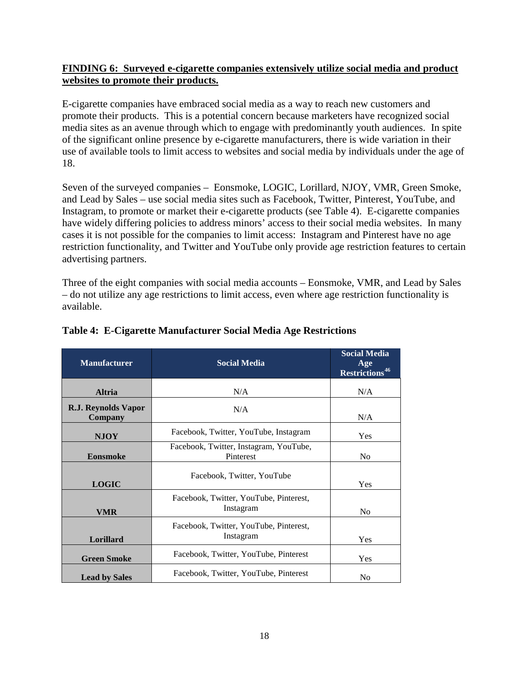#### **FINDING 6: Surveyed e-cigarette companies extensively utilize social media and product websites to promote their products.**

E-cigarette companies have embraced social media as a way to reach new customers and promote their products. This is a potential concern because marketers have recognized social media sites as an avenue through which to engage with predominantly youth audiences. In spite of the significant online presence by e-cigarette manufacturers, there is wide variation in their use of available tools to limit access to websites and social media by individuals under the age of 18.

Seven of the surveyed companies – Eonsmoke, LOGIC, Lorillard, NJOY, VMR, Green Smoke, and Lead by Sales – use social media sites such as Facebook, Twitter, Pinterest, YouTube, and Instagram, to promote or market their e-cigarette products (see Table 4). E-cigarette companies have widely differing policies to address minors' access to their social media websites. In many cases it is not possible for the companies to limit access: Instagram and Pinterest have no age restriction functionality, and Twitter and YouTube only provide age restriction features to certain advertising partners.

Three of the eight companies with social media accounts – Eonsmoke, VMR, and Lead by Sales – do not utilize any age restrictions to limit access, even where age restriction functionality is available.

| <b>Manufacturer</b>                   | <b>Social Media</b>                                 | <b>Social Media</b><br>Age<br><b>Restrictions<sup>46</sup></b> |
|---------------------------------------|-----------------------------------------------------|----------------------------------------------------------------|
| <b>Altria</b>                         | N/A                                                 | N/A                                                            |
| R.J. Reynolds Vapor<br><b>Company</b> | N/A                                                 | N/A                                                            |
| <b>NJOY</b>                           | Facebook, Twitter, YouTube, Instagram               | <b>Yes</b>                                                     |
| <b>Eonsmoke</b>                       | Facebook, Twitter, Instagram, YouTube,<br>Pinterest | N <sub>0</sub>                                                 |
| <b>LOGIC</b>                          | Facebook, Twitter, YouTube                          | Yes                                                            |
| <b>VMR</b>                            | Facebook, Twitter, YouTube, Pinterest,<br>Instagram | N <sub>0</sub>                                                 |
| Lorillard                             | Facebook, Twitter, YouTube, Pinterest,<br>Instagram | Yes                                                            |
| <b>Green Smoke</b>                    | Facebook, Twitter, YouTube, Pinterest               | Yes                                                            |
| <b>Lead by Sales</b>                  | Facebook, Twitter, YouTube, Pinterest               | N <sub>0</sub>                                                 |

#### **Table 4: E-Cigarette Manufacturer Social Media Age Restrictions**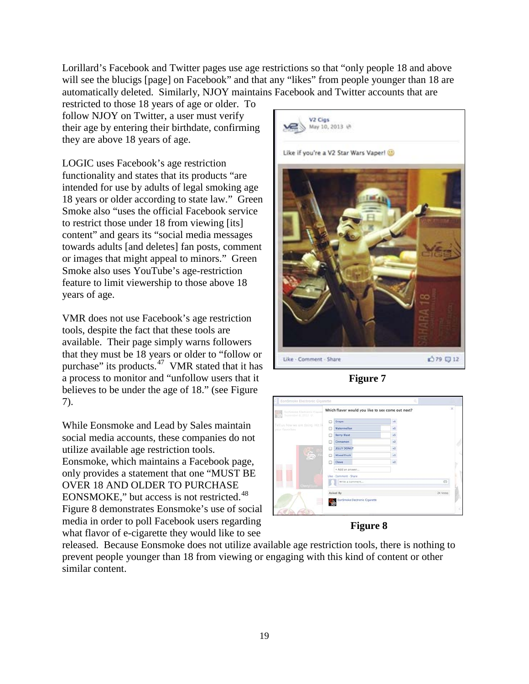Lorillard's Facebook and Twitter pages use age restrictions so that "only people 18 and above will see the blucigs [page] on Facebook" and that any "likes" from people younger than 18 are automatically deleted. Similarly, NJOY maintains Facebook and Twitter accounts that are

restricted to those 18 years of age or older. To follow NJOY on Twitter, a user must verify their age by entering their birthdate, confirming they are above 18 years of age.

LOGIC uses Facebook's age restriction functionality and states that its products "are intended for use by adults of legal smoking age 18 years or older according to state law." Green Smoke also "uses the official Facebook service to restrict those under 18 from viewing [its] content" and gears its "social media messages towards adults [and deletes] fan posts, comment or images that might appeal to minors." Green Smoke also uses YouTube's age-restriction feature to limit viewership to those above 18 years of age.

VMR does not use Facebook's age restriction tools, despite the fact that these tools are available. Their page simply warns followers that they must be 18 years or older to "follow or purchase" its products. $47$  VMR stated that it has a process to monitor and "unfollow users that it believes to be under the age of 18." (see Figure 7).

While Eonsmoke and Lead by Sales maintain social media accounts, these companies do not utilize available age restriction tools. Eonsmoke, which maintains a Facebook page, only provides a statement that one "MUST BE OVER 18 AND OLDER TO PURCHASE EONSMOKE," but access is not restricted.<sup>[48](#page-42-28)</sup> Figure 8 demonstrates Eonsmoke's use of social media in order to poll Facebook users regarding what flavor of e-cigarette they would like to see



**Figure 7**



#### **Figure 8**

released. Because Eonsmoke does not utilize available age restriction tools, there is nothing to prevent people younger than 18 from viewing or engaging with this kind of content or other similar content.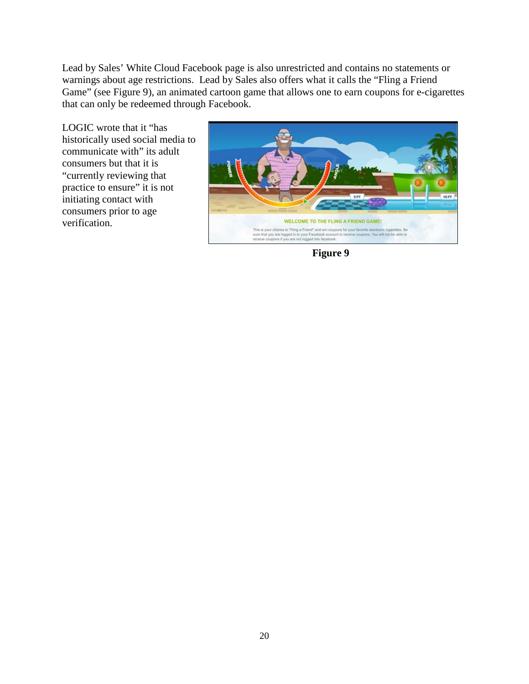Lead by Sales' White Cloud Facebook page is also unrestricted and contains no statements or warnings about age restrictions. Lead by Sales also offers what it calls the "Fling a Friend Game" (see Figure 9), an animated cartoon game that allows one to earn coupons for e-cigarettes that can only be redeemed through Facebook.

LOGIC wrote that it "has historically used social media to communicate with" its adult consumers but that it is "currently reviewing that practice to ensure" it is not initiating contact with consumers prior to age verification.



**Figure 9**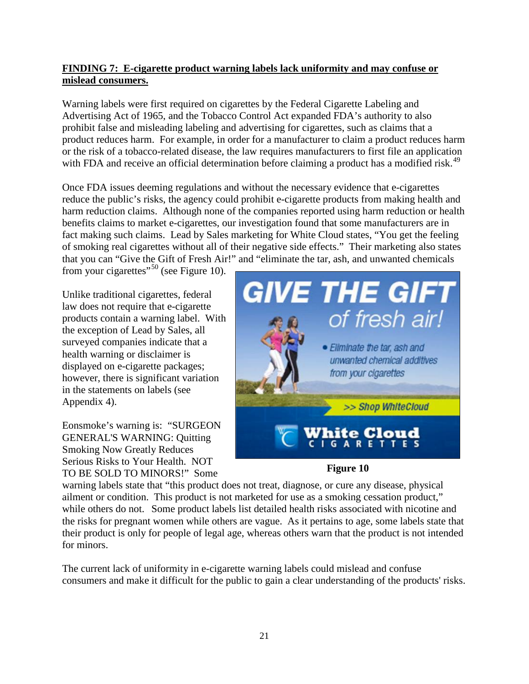#### **FINDING 7: E-cigarette product warning labels lack uniformity and may confuse or mislead consumers.**

Warning labels were first required on cigarettes by the Federal Cigarette Labeling and Advertising Act of 1965, and the Tobacco Control Act expanded FDA's authority to also prohibit false and misleading labeling and advertising for cigarettes, such as claims that a product reduces harm. For example, in order for a manufacturer to claim a product reduces harm or the risk of a tobacco-related disease, the law requires manufacturers to first file an application with FDA and receive an official determination before claiming a product has a modified risk.<sup>[49](#page-42-29)</sup>

Once FDA issues deeming regulations and without the necessary evidence that e-cigarettes reduce the public's risks, the agency could prohibit e-cigarette products from making health and harm reduction claims. Although none of the companies reported using harm reduction or health benefits claims to market e-cigarettes, our investigation found that some manufacturers are in fact making such claims. Lead by Sales marketing for White Cloud states, "You get the feeling of smoking real cigarettes without all of their negative side effects." Their marketing also states that you can "Give the Gift of Fresh Air!" and "eliminate the tar, ash, and unwanted chemicals

from your cigarettes"<sup>[50](#page-42-30)</sup> (see Figure 10).

Unlike traditional cigarettes, federal law does not require that e-cigarette products contain a warning label. With the exception of Lead by Sales, all surveyed companies indicate that a health warning or disclaimer is displayed on e-cigarette packages; however, there is significant variation in the statements on labels (see Appendix 4).

Eonsmoke's warning is: "SURGEON GENERAL'S WARNING: Quitting Smoking Now Greatly Reduces Serious Risks to Your Health. NOT TO BE SOLD TO MINORS!" Some





warning labels state that "this product does not treat, diagnose, or cure any disease, physical ailment or condition. This product is not marketed for use as a smoking cessation product," while others do not. Some product labels list detailed health risks associated with nicotine and the risks for pregnant women while others are vague. As it pertains to age, some labels state that their product is only for people of legal age, whereas others warn that the product is not intended for minors.

The current lack of uniformity in e-cigarette warning labels could mislead and confuse consumers and make it difficult for the public to gain a clear understanding of the products' risks.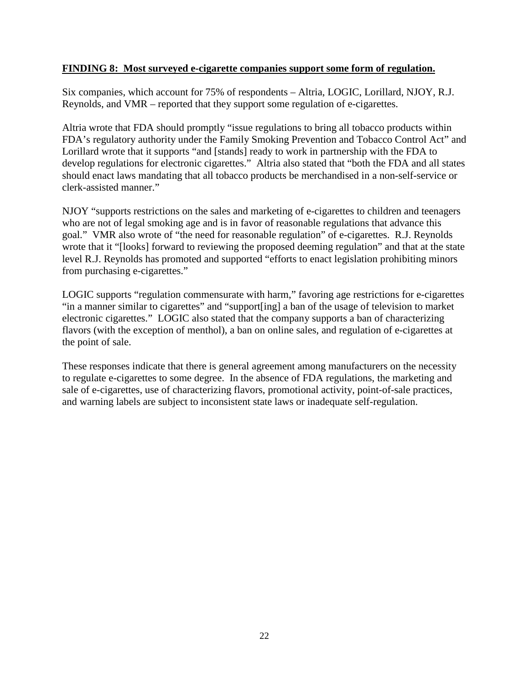#### **FINDING 8: Most surveyed e-cigarette companies support some form of regulation.**

Six companies, which account for 75% of respondents – Altria, LOGIC, Lorillard, NJOY, R.J. Reynolds, and VMR – reported that they support some regulation of e-cigarettes.

Altria wrote that FDA should promptly "issue regulations to bring all tobacco products within FDA's regulatory authority under the Family Smoking Prevention and Tobacco Control Act" and Lorillard wrote that it supports "and [stands] ready to work in partnership with the FDA to develop regulations for electronic cigarettes." Altria also stated that "both the FDA and all states should enact laws mandating that all tobacco products be merchandised in a non-self-service or clerk-assisted manner."

NJOY "supports restrictions on the sales and marketing of e-cigarettes to children and teenagers who are not of legal smoking age and is in favor of reasonable regulations that advance this goal." VMR also wrote of "the need for reasonable regulation" of e-cigarettes. R.J. Reynolds wrote that it "[looks] forward to reviewing the proposed deeming regulation" and that at the state level R.J. Reynolds has promoted and supported "efforts to enact legislation prohibiting minors from purchasing e-cigarettes."

LOGIC supports "regulation commensurate with harm," favoring age restrictions for e-cigarettes "in a manner similar to cigarettes" and "support[ing] a ban of the usage of television to market electronic cigarettes." LOGIC also stated that the company supports a ban of characterizing flavors (with the exception of menthol), a ban on online sales, and regulation of e-cigarettes at the point of sale.

These responses indicate that there is general agreement among manufacturers on the necessity to regulate e-cigarettes to some degree. In the absence of FDA regulations, the marketing and sale of e-cigarettes, use of characterizing flavors, promotional activity, point-of-sale practices, and warning labels are subject to inconsistent state laws or inadequate self-regulation.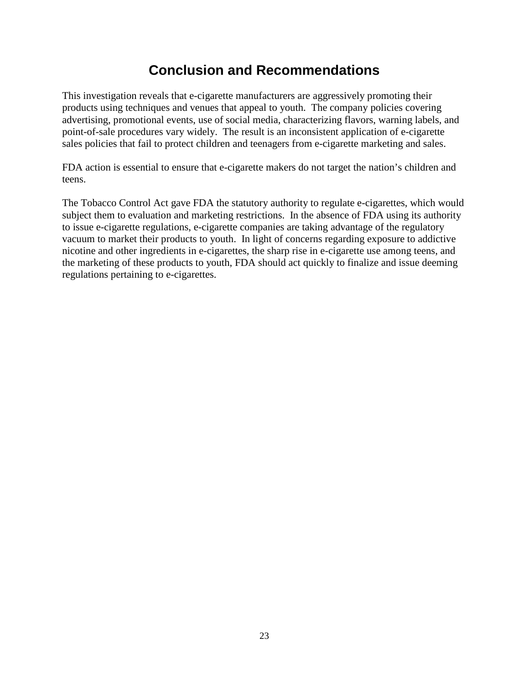## **Conclusion and Recommendations**

This investigation reveals that e-cigarette manufacturers are aggressively promoting their products using techniques and venues that appeal to youth. The company policies covering advertising, promotional events, use of social media, characterizing flavors, warning labels, and point-of-sale procedures vary widely. The result is an inconsistent application of e-cigarette sales policies that fail to protect children and teenagers from e-cigarette marketing and sales.

FDA action is essential to ensure that e-cigarette makers do not target the nation's children and teens.

The Tobacco Control Act gave FDA the statutory authority to regulate e-cigarettes, which would subject them to evaluation and marketing restrictions. In the absence of FDA using its authority to issue e-cigarette regulations, e-cigarette companies are taking advantage of the regulatory vacuum to market their products to youth. In light of concerns regarding exposure to addictive nicotine and other ingredients in e-cigarettes, the sharp rise in e-cigarette use among teens, and the marketing of these products to youth, FDA should act quickly to finalize and issue deeming regulations pertaining to e-cigarettes.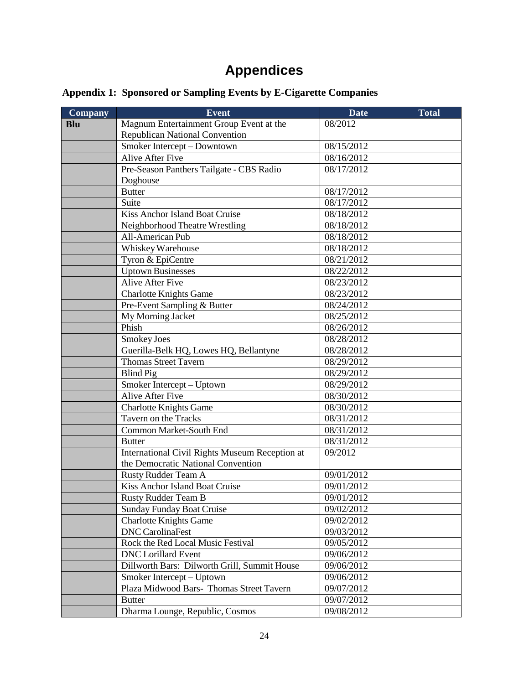# **Appendices**

| <b>Appendix 1: Sponsored or Sampling Events by E-Cigarette Companies</b> |  |  |
|--------------------------------------------------------------------------|--|--|
|                                                                          |  |  |
|                                                                          |  |  |
|                                                                          |  |  |

| <b>Company</b> | <b>Event</b>                                   | Date       | <b>Total</b> |
|----------------|------------------------------------------------|------------|--------------|
| <b>Blu</b>     | Magnum Entertainment Group Event at the        | 08/2012    |              |
|                | <b>Republican National Convention</b>          |            |              |
|                | Smoker Intercept - Downtown                    | 08/15/2012 |              |
|                | Alive After Five                               | 08/16/2012 |              |
|                | Pre-Season Panthers Tailgate - CBS Radio       | 08/17/2012 |              |
|                | Doghouse                                       |            |              |
|                | <b>Butter</b>                                  | 08/17/2012 |              |
|                | Suite                                          | 08/17/2012 |              |
|                | Kiss Anchor Island Boat Cruise                 | 08/18/2012 |              |
|                | Neighborhood Theatre Wrestling                 | 08/18/2012 |              |
|                | All-American Pub                               | 08/18/2012 |              |
|                | Whiskey Warehouse                              | 08/18/2012 |              |
|                | Tyron & EpiCentre                              | 08/21/2012 |              |
|                | <b>Uptown Businesses</b>                       | 08/22/2012 |              |
|                | Alive After Five                               | 08/23/2012 |              |
|                | <b>Charlotte Knights Game</b>                  | 08/23/2012 |              |
|                | Pre-Event Sampling & Butter                    | 08/24/2012 |              |
|                | My Morning Jacket                              | 08/25/2012 |              |
|                | Phish                                          | 08/26/2012 |              |
|                | Smokey Joes                                    | 08/28/2012 |              |
|                | Guerilla-Belk HQ, Lowes HQ, Bellantyne         | 08/28/2012 |              |
|                | <b>Thomas Street Tavern</b>                    | 08/29/2012 |              |
|                | <b>Blind Pig</b>                               | 08/29/2012 |              |
|                | Smoker Intercept - Uptown                      | 08/29/2012 |              |
|                | <b>Alive After Five</b>                        | 08/30/2012 |              |
|                | <b>Charlotte Knights Game</b>                  | 08/30/2012 |              |
|                | Tavern on the Tracks                           | 08/31/2012 |              |
|                | Common Market-South End                        | 08/31/2012 |              |
|                | <b>Butter</b>                                  | 08/31/2012 |              |
|                | International Civil Rights Museum Reception at | 09/2012    |              |
|                | the Democratic National Convention             |            |              |
|                | Rusty Rudder Team A                            | 09/01/2012 |              |
|                | Kiss Anchor Island Boat Cruise                 | 09/01/2012 |              |
|                | <b>Rusty Rudder Team B</b>                     | 09/01/2012 |              |
|                | <b>Sunday Funday Boat Cruise</b>               | 09/02/2012 |              |
|                | <b>Charlotte Knights Game</b>                  | 09/02/2012 |              |
|                | <b>DNC</b> CarolinaFest                        | 09/03/2012 |              |
|                | Rock the Red Local Music Festival              | 09/05/2012 |              |
|                | <b>DNC</b> Lorillard Event                     | 09/06/2012 |              |
|                | Dillworth Bars: Dilworth Grill, Summit House   | 09/06/2012 |              |
|                | Smoker Intercept – Uptown                      | 09/06/2012 |              |
|                | Plaza Midwood Bars- Thomas Street Tavern       | 09/07/2012 |              |
|                | <b>Butter</b>                                  | 09/07/2012 |              |
|                | Dharma Lounge, Republic, Cosmos                | 09/08/2012 |              |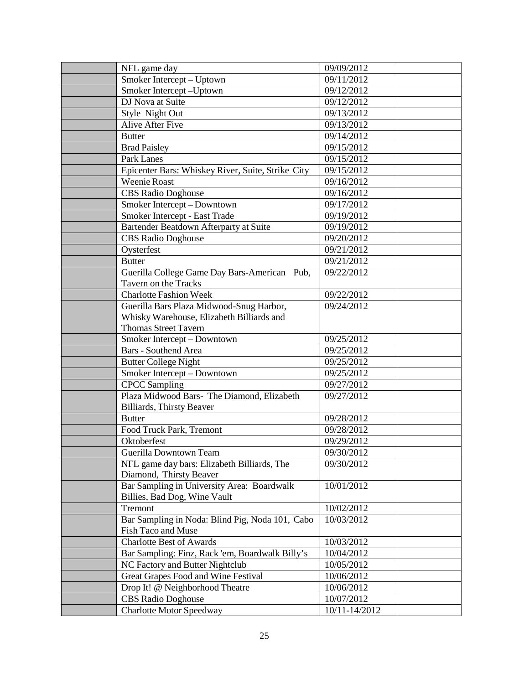| NFL game day                                      | 09/09/2012    |  |
|---------------------------------------------------|---------------|--|
| Smoker Intercept - Uptown                         | 09/11/2012    |  |
| Smoker Intercept-Uptown                           | 09/12/2012    |  |
| DJ Nova at Suite                                  | 09/12/2012    |  |
| Style Night Out                                   | 09/13/2012    |  |
| <b>Alive After Five</b>                           | 09/13/2012    |  |
| <b>Butter</b>                                     | 09/14/2012    |  |
| <b>Brad Paisley</b>                               | 09/15/2012    |  |
| Park Lanes                                        | 09/15/2012    |  |
| Epicenter Bars: Whiskey River, Suite, Strike City | 09/15/2012    |  |
| <b>Weenie Roast</b>                               | 09/16/2012    |  |
| <b>CBS Radio Doghouse</b>                         | 09/16/2012    |  |
| Smoker Intercept - Downtown                       | 09/17/2012    |  |
| Smoker Intercept - East Trade                     | 09/19/2012    |  |
| Bartender Beatdown Afterparty at Suite            | 09/19/2012    |  |
| <b>CBS Radio Doghouse</b>                         | 09/20/2012    |  |
| Oysterfest                                        | 09/21/2012    |  |
| <b>Butter</b>                                     | 09/21/2012    |  |
| Guerilla College Game Day Bars-American Pub,      | 09/22/2012    |  |
| <b>Tavern on the Tracks</b>                       |               |  |
| <b>Charlotte Fashion Week</b>                     | 09/22/2012    |  |
| Guerilla Bars Plaza Midwood-Snug Harbor,          | 09/24/2012    |  |
| Whisky Warehouse, Elizabeth Billiards and         |               |  |
| <b>Thomas Street Tavern</b>                       |               |  |
| Smoker Intercept - Downtown                       | 09/25/2012    |  |
| <b>Bars - Southend Area</b>                       | 09/25/2012    |  |
| <b>Butter College Night</b>                       | 09/25/2012    |  |
| Smoker Intercept - Downtown                       | 09/25/2012    |  |
| <b>CPCC</b> Sampling                              | 09/27/2012    |  |
| Plaza Midwood Bars- The Diamond, Elizabeth        | 09/27/2012    |  |
| Billiards, Thirsty Beaver                         |               |  |
| <b>Butter</b>                                     | 09/28/2012    |  |
| Food Truck Park, Tremont                          | 09/28/2012    |  |
| Oktoberfest                                       | 09/29/2012    |  |
| Guerilla Downtown Team                            | 09/30/2012    |  |
| NFL game day bars: Elizabeth Billiards, The       | 09/30/2012    |  |
| Diamond, Thirsty Beaver                           |               |  |
| Bar Sampling in University Area: Boardwalk        | 10/01/2012    |  |
| Billies, Bad Dog, Wine Vault                      |               |  |
| Tremont                                           | 10/02/2012    |  |
| Bar Sampling in Noda: Blind Pig, Noda 101, Cabo   | 10/03/2012    |  |
| Fish Taco and Muse                                |               |  |
| <b>Charlotte Best of Awards</b>                   | 10/03/2012    |  |
| Bar Sampling: Finz, Rack 'em, Boardwalk Billy's   | 10/04/2012    |  |
| NC Factory and Butter Nightclub                   | 10/05/2012    |  |
| Great Grapes Food and Wine Festival               | 10/06/2012    |  |
| Drop It! @ Neighborhood Theatre                   | 10/06/2012    |  |
| <b>CBS Radio Doghouse</b>                         | 10/07/2012    |  |
| <b>Charlotte Motor Speedway</b>                   | 10/11-14/2012 |  |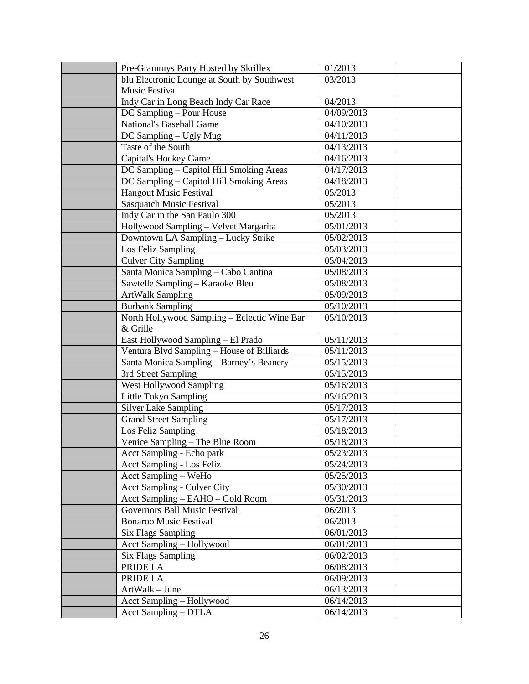| Pre-Grammys Party Hosted by Skrillex         | 01/2013    |  |
|----------------------------------------------|------------|--|
| blu Electronic Lounge at South by Southwest  | 03/2013    |  |
| Music Festival                               |            |  |
| Indy Car in Long Beach Indy Car Race         | 04/2013    |  |
| DC Sampling - Pour House                     | 04/09/2013 |  |
| <b>National's Baseball Game</b>              | 04/10/2013 |  |
| DC Sampling - Ugly Mug                       | 04/11/2013 |  |
| Taste of the South                           | 04/13/2013 |  |
| Capital's Hockey Game                        | 04/16/2013 |  |
| DC Sampling - Capitol Hill Smoking Areas     | 04/17/2013 |  |
| DC Sampling - Capitol Hill Smoking Areas     | 04/18/2013 |  |
| <b>Hangout Music Festival</b>                | 05/2013    |  |
| <b>Sasquatch Music Festival</b>              | 05/2013    |  |
| Indy Car in the San Paulo 300                | 05/2013    |  |
| Hollywood Sampling - Velvet Margarita        | 05/01/2013 |  |
| Downtown LA Sampling - Lucky Strike          | 05/02/2013 |  |
| Los Feliz Sampling                           | 05/03/2013 |  |
| <b>Culver City Sampling</b>                  | 05/04/2013 |  |
| Santa Monica Sampling - Cabo Cantina         | 05/08/2013 |  |
| Sawtelle Sampling - Karaoke Bleu             | 05/08/2013 |  |
| <b>ArtWalk Sampling</b>                      | 05/09/2013 |  |
| <b>Burbank Sampling</b>                      | 05/10/2013 |  |
| North Hollywood Sampling - Eclectic Wine Bar | 05/10/2013 |  |
| & Grille                                     |            |  |
| East Hollywood Sampling - El Prado           | 05/11/2013 |  |
| Ventura Blvd Sampling - House of Billiards   | 05/11/2013 |  |
| Santa Monica Sampling - Barney's Beanery     | 05/15/2013 |  |
| 3rd Street Sampling                          | 05/15/2013 |  |
| <b>West Hollywood Sampling</b>               | 05/16/2013 |  |
| Little Tokyo Sampling                        | 05/16/2013 |  |
| <b>Silver Lake Sampling</b>                  | 05/17/2013 |  |
| <b>Grand Street Sampling</b>                 | 05/17/2013 |  |
| Los Feliz Sampling                           | 05/18/2013 |  |
| Venice Sampling - The Blue Room              | 05/18/2013 |  |
| Acct Sampling - Echo park                    | 05/23/2013 |  |
| Acct Sampling - Los Feliz                    | 05/24/2013 |  |
| Acct Sampling - WeHo                         | 05/25/2013 |  |
| <b>Acct Sampling - Culver City</b>           | 05/30/2013 |  |
| Acct Sampling - EAHO - Gold Room             | 05/31/2013 |  |
| Governors Ball Music Festival                | 06/2013    |  |
| <b>Bonaroo Music Festival</b>                | 06/2013    |  |
| <b>Six Flags Sampling</b>                    | 06/01/2013 |  |
| Acct Sampling - Hollywood                    | 06/01/2013 |  |
| <b>Six Flags Sampling</b>                    | 06/02/2013 |  |
| PRIDE LA                                     | 06/08/2013 |  |
| PRIDE LA                                     | 06/09/2013 |  |
| ArtWalk - June                               | 06/13/2013 |  |
| Acct Sampling - Hollywood                    | 06/14/2013 |  |
| Acct Sampling - DTLA                         | 06/14/2013 |  |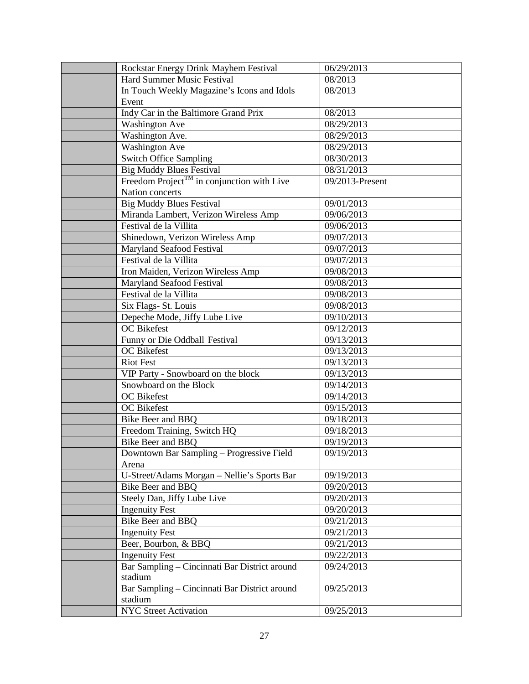| Rockstar Energy Drink Mayhem Festival                  | 06/29/2013      |  |
|--------------------------------------------------------|-----------------|--|
| Hard Summer Music Festival                             | 08/2013         |  |
| In Touch Weekly Magazine's Icons and Idols             | 08/2013         |  |
| Event                                                  |                 |  |
| Indy Car in the Baltimore Grand Prix                   | 08/2013         |  |
| <b>Washington Ave</b>                                  | 08/29/2013      |  |
| Washington Ave.                                        | 08/29/2013      |  |
| <b>Washington Ave</b>                                  | 08/29/2013      |  |
| Switch Office Sampling                                 | 08/30/2013      |  |
| <b>Big Muddy Blues Festival</b>                        | 08/31/2013      |  |
| Freedom Project <sup>TM</sup> in conjunction with Live | 09/2013-Present |  |
| Nation concerts                                        |                 |  |
| <b>Big Muddy Blues Festival</b>                        | 09/01/2013      |  |
| Miranda Lambert, Verizon Wireless Amp                  | 09/06/2013      |  |
| Festival de la Villita                                 | 09/06/2013      |  |
| Shinedown, Verizon Wireless Amp                        | 09/07/2013      |  |
| Maryland Seafood Festival                              | 09/07/2013      |  |
| Festival de la Villita                                 | 09/07/2013      |  |
| Iron Maiden, Verizon Wireless Amp                      | 09/08/2013      |  |
| Maryland Seafood Festival                              | 09/08/2013      |  |
| Festival de la Villita                                 | 09/08/2013      |  |
| Six Flags- St. Louis                                   | 09/08/2013      |  |
| Depeche Mode, Jiffy Lube Live                          | 09/10/2013      |  |
| <b>OC</b> Bikefest                                     | 09/12/2013      |  |
| Funny or Die Oddball Festival                          | 09/13/2013      |  |
| <b>OC</b> Bikefest                                     | 09/13/2013      |  |
| <b>Riot Fest</b>                                       | 09/13/2013      |  |
| VIP Party - Snowboard on the block                     | 09/13/2013      |  |
| Snowboard on the Block                                 | 09/14/2013      |  |
| OC Bikefest                                            | 09/14/2013      |  |
| OC Bikefest                                            | 09/15/2013      |  |
| Bike Beer and BBQ                                      | 09/18/2013      |  |
| Freedom Training, Switch HQ                            | 09/18/2013      |  |
| Bike Beer and BBQ                                      | 09/19/2013      |  |
| Downtown Bar Sampling - Progressive Field              | 09/19/2013      |  |
| Arena                                                  |                 |  |
| U-Street/Adams Morgan - Nellie's Sports Bar            | 09/19/2013      |  |
| Bike Beer and BBQ                                      | 09/20/2013      |  |
| Steely Dan, Jiffy Lube Live                            | 09/20/2013      |  |
| <b>Ingenuity Fest</b>                                  | 09/20/2013      |  |
| Bike Beer and BBQ                                      | 09/21/2013      |  |
| <b>Ingenuity Fest</b>                                  | 09/21/2013      |  |
| Beer, Bourbon, & BBQ                                   | 09/21/2013      |  |
| <b>Ingenuity Fest</b>                                  | 09/22/2013      |  |
| Bar Sampling - Cincinnati Bar District around          | 09/24/2013      |  |
| stadium                                                |                 |  |
| Bar Sampling - Cincinnati Bar District around          | 09/25/2013      |  |
| stadium                                                |                 |  |
| <b>NYC Street Activation</b>                           | 09/25/2013      |  |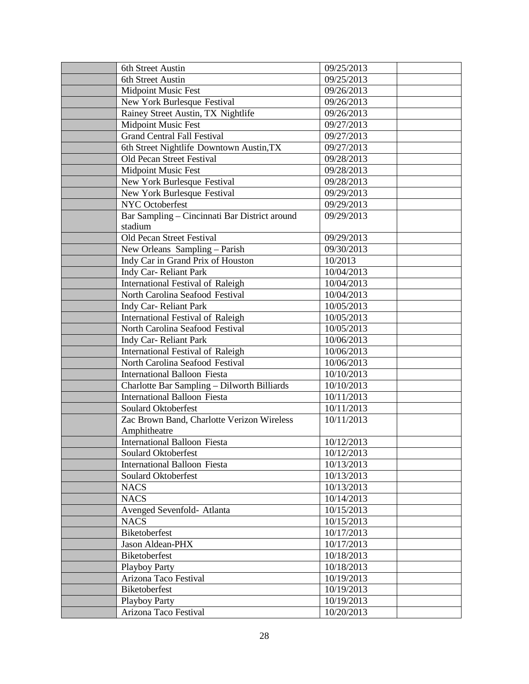| 6th Street Austin                                          | 09/25/2013 |  |
|------------------------------------------------------------|------------|--|
| 6th Street Austin                                          | 09/25/2013 |  |
| <b>Midpoint Music Fest</b>                                 | 09/26/2013 |  |
| New York Burlesque Festival                                | 09/26/2013 |  |
| Rainey Street Austin, TX Nightlife                         | 09/26/2013 |  |
| <b>Midpoint Music Fest</b>                                 | 09/27/2013 |  |
| <b>Grand Central Fall Festival</b>                         | 09/27/2013 |  |
| 6th Street Nightlife Downtown Austin, TX                   | 09/27/2013 |  |
| Old Pecan Street Festival                                  | 09/28/2013 |  |
| <b>Midpoint Music Fest</b>                                 | 09/28/2013 |  |
| New York Burlesque Festival                                | 09/28/2013 |  |
| New York Burlesque Festival                                | 09/29/2013 |  |
| <b>NYC</b> Octoberfest                                     | 09/29/2013 |  |
| Bar Sampling - Cincinnati Bar District around<br>stadium   | 09/29/2013 |  |
| Old Pecan Street Festival                                  | 09/29/2013 |  |
| New Orleans Sampling - Parish                              | 09/30/2013 |  |
| Indy Car in Grand Prix of Houston                          | 10/2013    |  |
| Indy Car-Reliant Park                                      | 10/04/2013 |  |
| International Festival of Raleigh                          | 10/04/2013 |  |
| North Carolina Seafood Festival                            | 10/04/2013 |  |
| Indy Car-Reliant Park                                      | 10/05/2013 |  |
| International Festival of Raleigh                          | 10/05/2013 |  |
| North Carolina Seafood Festival                            | 10/05/2013 |  |
| Indy Car-Reliant Park                                      | 10/06/2013 |  |
| International Festival of Raleigh                          | 10/06/2013 |  |
| North Carolina Seafood Festival                            | 10/06/2013 |  |
| <b>International Balloon Fiesta</b>                        | 10/10/2013 |  |
| Charlotte Bar Sampling - Dilworth Billiards                | 10/10/2013 |  |
| <b>International Balloon Fiesta</b>                        | 10/11/2013 |  |
| Soulard Oktoberfest                                        | 10/11/2013 |  |
| Zac Brown Band, Charlotte Verizon Wireless<br>Amphitheatre | 10/11/2013 |  |
| <b>International Balloon Fiesta</b>                        | 10/12/2013 |  |
| Soulard Oktoberfest                                        | 10/12/2013 |  |
| <b>International Balloon Fiesta</b>                        | 10/13/2013 |  |
| Soulard Oktoberfest                                        | 10/13/2013 |  |
| <b>NACS</b>                                                | 10/13/2013 |  |
| <b>NACS</b>                                                | 10/14/2013 |  |
| Avenged Sevenfold- Atlanta                                 | 10/15/2013 |  |
| <b>NACS</b>                                                | 10/15/2013 |  |
| Biketoberfest                                              | 10/17/2013 |  |
| Jason Aldean-PHX                                           | 10/17/2013 |  |
| Biketoberfest                                              | 10/18/2013 |  |
| <b>Playboy Party</b>                                       | 10/18/2013 |  |
| Arizona Taco Festival                                      | 10/19/2013 |  |
| Biketoberfest                                              | 10/19/2013 |  |
| <b>Playboy Party</b>                                       | 10/19/2013 |  |
| Arizona Taco Festival                                      | 10/20/2013 |  |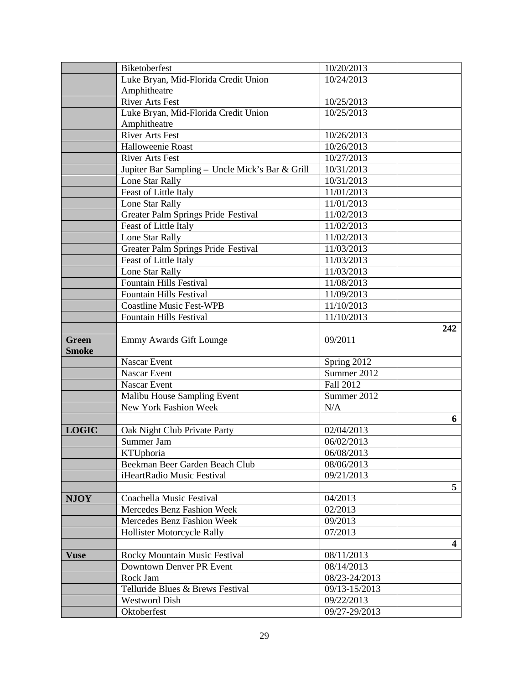|                              | Biketoberfest                                   | 10/20/2013    |                |
|------------------------------|-------------------------------------------------|---------------|----------------|
|                              | Luke Bryan, Mid-Florida Credit Union            | 10/24/2013    |                |
|                              | Amphitheatre                                    |               |                |
|                              | <b>River Arts Fest</b>                          | 10/25/2013    |                |
|                              | Luke Bryan, Mid-Florida Credit Union            | 10/25/2013    |                |
|                              | Amphitheatre                                    |               |                |
|                              | <b>River Arts Fest</b>                          | 10/26/2013    |                |
|                              | Halloweenie Roast                               | 10/26/2013    |                |
|                              | <b>River Arts Fest</b>                          | 10/27/2013    |                |
|                              | Jupiter Bar Sampling - Uncle Mick's Bar & Grill | 10/31/2013    |                |
|                              | Lone Star Rally                                 | 10/31/2013    |                |
|                              | Feast of Little Italy                           | 11/01/2013    |                |
|                              | Lone Star Rally                                 | 11/01/2013    |                |
|                              | Greater Palm Springs Pride Festival             | 11/02/2013    |                |
|                              | Feast of Little Italy                           | 11/02/2013    |                |
|                              | Lone Star Rally                                 | 11/02/2013    |                |
|                              | Greater Palm Springs Pride Festival             | 11/03/2013    |                |
|                              | Feast of Little Italy                           | 11/03/2013    |                |
|                              | Lone Star Rally                                 | 11/03/2013    |                |
|                              | <b>Fountain Hills Festival</b>                  | 11/08/2013    |                |
|                              | <b>Fountain Hills Festival</b>                  | 11/09/2013    |                |
|                              | <b>Coastline Music Fest-WPB</b>                 | 11/10/2013    |                |
|                              | <b>Fountain Hills Festival</b>                  | 11/10/2013    |                |
|                              |                                                 |               | 242            |
| <b>Green</b><br><b>Smoke</b> | Emmy Awards Gift Lounge                         | 09/2011       |                |
|                              | Nascar Event                                    | Spring 2012   |                |
|                              | <b>Nascar Event</b>                             | Summer 2012   |                |
|                              | Nascar Event                                    | Fall 2012     |                |
|                              | Malibu House Sampling Event                     | Summer 2012   |                |
|                              | New York Fashion Week                           | N/A           |                |
|                              |                                                 |               | 6              |
| <b>LOGIC</b>                 | Oak Night Club Private Party                    | 02/04/2013    |                |
|                              | Summer Jam                                      | 06/02/2013    |                |
|                              | KTUphoria                                       | 06/08/2013    |                |
|                              | Beekman Beer Garden Beach Club                  | 08/06/2013    |                |
|                              | iHeartRadio Music Festival                      | 09/21/2013    |                |
|                              |                                                 |               | 5 <sup>5</sup> |
| <b>NJOY</b>                  | Coachella Music Festival                        | 04/2013       |                |
|                              | Mercedes Benz Fashion Week                      | 02/2013       |                |
|                              | Mercedes Benz Fashion Week                      | 09/2013       |                |
|                              | <b>Hollister Motorcycle Rally</b>               | 07/2013       |                |
|                              |                                                 |               | 4              |
| <b>Vuse</b>                  | Rocky Mountain Music Festival                   | 08/11/2013    |                |
|                              | Downtown Denver PR Event                        | 08/14/2013    |                |
|                              | Rock Jam                                        | 08/23-24/2013 |                |
|                              | Telluride Blues & Brews Festival                | 09/13-15/2013 |                |
|                              | <b>Westword Dish</b>                            | 09/22/2013    |                |
|                              | Oktoberfest                                     | 09/27-29/2013 |                |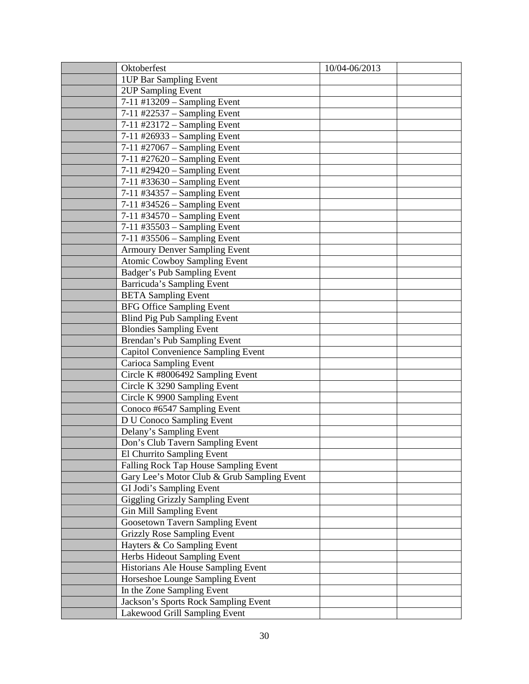| Oktoberfest                                 | 10/04-06/2013 |  |
|---------------------------------------------|---------------|--|
| <b>IUP</b> Bar Sampling Event               |               |  |
| 2UP Sampling Event                          |               |  |
| 7-11 #13209 - Sampling Event                |               |  |
| 7-11 #22537 - Sampling Event                |               |  |
| 7-11 #23172 - Sampling Event                |               |  |
| $7-11$ #26933 – Sampling Event              |               |  |
| $7-11$ #27067 – Sampling Event              |               |  |
| $7-11$ #27620 - Sampling Event              |               |  |
| $7-11$ #29420 - Sampling Event              |               |  |
| $7-11$ #33630 - Sampling Event              |               |  |
| 7-11 #34357 - Sampling Event                |               |  |
| 7-11 #34526 - Sampling Event                |               |  |
| 7-11 #34570 - Sampling Event                |               |  |
| 7-11 #35503 - Sampling Event                |               |  |
| $7-11$ #35506 – Sampling Event              |               |  |
| <b>Armoury Denver Sampling Event</b>        |               |  |
| <b>Atomic Cowboy Sampling Event</b>         |               |  |
| Badger's Pub Sampling Event                 |               |  |
| Barricuda's Sampling Event                  |               |  |
| <b>BETA Sampling Event</b>                  |               |  |
| <b>BFG Office Sampling Event</b>            |               |  |
| <b>Blind Pig Pub Sampling Event</b>         |               |  |
| <b>Blondies Sampling Event</b>              |               |  |
| Brendan's Pub Sampling Event                |               |  |
| <b>Capitol Convenience Sampling Event</b>   |               |  |
| Carioca Sampling Event                      |               |  |
| Circle K #8006492 Sampling Event            |               |  |
| Circle K 3290 Sampling Event                |               |  |
| Circle K 9900 Sampling Event                |               |  |
| Conoco #6547 Sampling Event                 |               |  |
| D U Conoco Sampling Event                   |               |  |
| Delany's Sampling Event                     |               |  |
| Don's Club Tavern Sampling Event            |               |  |
| El Churrito Sampling Event                  |               |  |
| Falling Rock Tap House Sampling Event       |               |  |
| Gary Lee's Motor Club & Grub Sampling Event |               |  |
| GI Jodi's Sampling Event                    |               |  |
| <b>Giggling Grizzly Sampling Event</b>      |               |  |
| <b>Gin Mill Sampling Event</b>              |               |  |
| <b>Goosetown Tavern Sampling Event</b>      |               |  |
| <b>Grizzly Rose Sampling Event</b>          |               |  |
| Hayters & Co Sampling Event                 |               |  |
| Herbs Hideout Sampling Event                |               |  |
| Historians Ale House Sampling Event         |               |  |
| Horseshoe Lounge Sampling Event             |               |  |
| In the Zone Sampling Event                  |               |  |
| Jackson's Sports Rock Sampling Event        |               |  |
| Lakewood Grill Sampling Event               |               |  |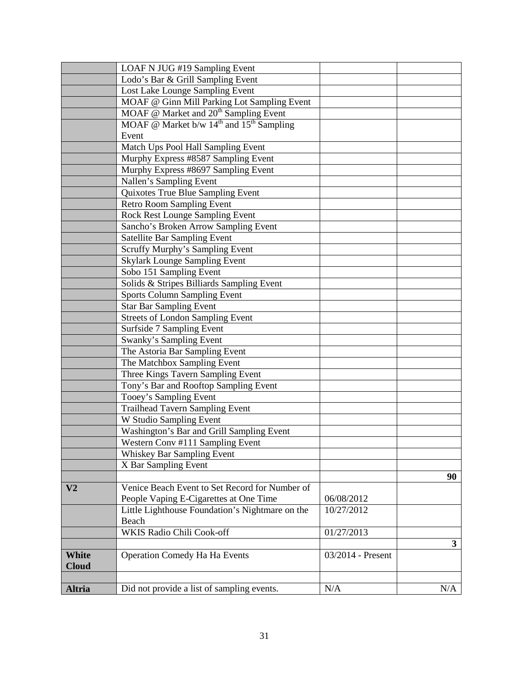|                | LOAF N JUG #19 Sampling Event                     |                   |              |
|----------------|---------------------------------------------------|-------------------|--------------|
|                | Lodo's Bar & Grill Sampling Event                 |                   |              |
|                | Lost Lake Lounge Sampling Event                   |                   |              |
|                | MOAF @ Ginn Mill Parking Lot Sampling Event       |                   |              |
|                | MOAF @ Market and 20 <sup>th</sup> Sampling Event |                   |              |
|                | MOAF @ Market b/w $14th$ and $15th$ Sampling      |                   |              |
|                | Event                                             |                   |              |
|                | Match Ups Pool Hall Sampling Event                |                   |              |
|                | Murphy Express #8587 Sampling Event               |                   |              |
|                | Murphy Express #8697 Sampling Event               |                   |              |
|                | Nallen's Sampling Event                           |                   |              |
|                | Quixotes True Blue Sampling Event                 |                   |              |
|                | <b>Retro Room Sampling Event</b>                  |                   |              |
|                | <b>Rock Rest Lounge Sampling Event</b>            |                   |              |
|                | Sancho's Broken Arrow Sampling Event              |                   |              |
|                | <b>Satellite Bar Sampling Event</b>               |                   |              |
|                | Scruffy Murphy's Sampling Event                   |                   |              |
|                | <b>Skylark Lounge Sampling Event</b>              |                   |              |
|                | Sobo 151 Sampling Event                           |                   |              |
|                | Solids & Stripes Billiards Sampling Event         |                   |              |
|                | <b>Sports Column Sampling Event</b>               |                   |              |
|                | <b>Star Bar Sampling Event</b>                    |                   |              |
|                | <b>Streets of London Sampling Event</b>           |                   |              |
|                | Surfside 7 Sampling Event                         |                   |              |
|                | Swanky's Sampling Event                           |                   |              |
|                | The Astoria Bar Sampling Event                    |                   |              |
|                | The Matchbox Sampling Event                       |                   |              |
|                | Three Kings Tavern Sampling Event                 |                   |              |
|                | Tony's Bar and Rooftop Sampling Event             |                   |              |
|                | Tooey's Sampling Event                            |                   |              |
|                | <b>Trailhead Tavern Sampling Event</b>            |                   |              |
|                | W Studio Sampling Event                           |                   |              |
|                | Washington's Bar and Grill Sampling Event         |                   |              |
|                | Western Conv #111 Sampling Event                  |                   |              |
|                | Whiskey Bar Sampling Event                        |                   |              |
|                | X Bar Sampling Event                              |                   |              |
|                |                                                   |                   | 90           |
| V <sub>2</sub> | Venice Beach Event to Set Record for Number of    |                   |              |
|                | People Vaping E-Cigarettes at One Time            | 06/08/2012        |              |
|                | Little Lighthouse Foundation's Nightmare on the   | 10/27/2012        |              |
|                | Beach                                             |                   |              |
|                | <b>WKIS Radio Chili Cook-off</b>                  | 01/27/2013        |              |
|                |                                                   |                   | $\mathbf{3}$ |
| <b>White</b>   | <b>Operation Comedy Ha Ha Events</b>              | 03/2014 - Present |              |
| <b>Cloud</b>   |                                                   |                   |              |
|                |                                                   |                   |              |
| Altria         | Did not provide a list of sampling events.        | N/A               | N/A          |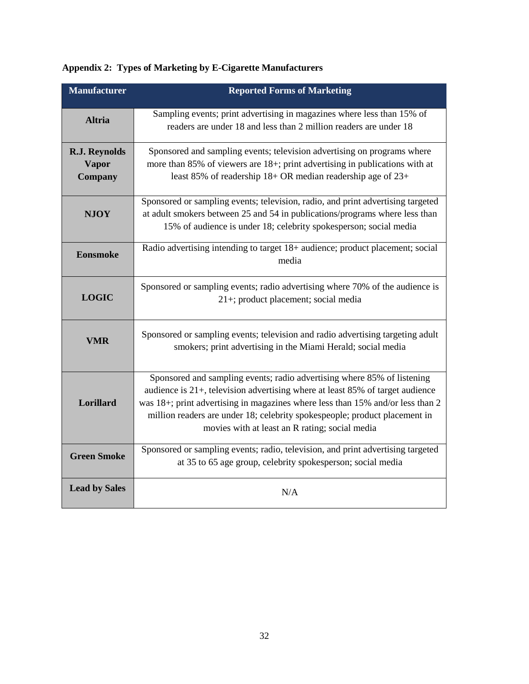|  |  | Appendix 2: Types of Marketing by E-Cigarette Manufacturers |
|--|--|-------------------------------------------------------------|
|--|--|-------------------------------------------------------------|

| <b>Manufacturer</b>                             | <b>Reported Forms of Marketing</b>                                                                                                                                                                                                                                                                                                                                            |
|-------------------------------------------------|-------------------------------------------------------------------------------------------------------------------------------------------------------------------------------------------------------------------------------------------------------------------------------------------------------------------------------------------------------------------------------|
| <b>Altria</b>                                   | Sampling events; print advertising in magazines where less than 15% of<br>readers are under 18 and less than 2 million readers are under 18                                                                                                                                                                                                                                   |
| R.J. Reynolds<br><b>Vapor</b><br><b>Company</b> | Sponsored and sampling events; television advertising on programs where<br>more than 85% of viewers are 18+; print advertising in publications with at<br>least 85% of readership 18+ OR median readership age of 23+                                                                                                                                                         |
| <b>NJOY</b>                                     | Sponsored or sampling events; television, radio, and print advertising targeted<br>at adult smokers between 25 and 54 in publications/programs where less than<br>15% of audience is under 18; celebrity spokesperson; social media                                                                                                                                           |
| <b>Eonsmoke</b>                                 | Radio advertising intending to target 18+ audience; product placement; social<br>media                                                                                                                                                                                                                                                                                        |
| <b>LOGIC</b>                                    | Sponsored or sampling events; radio advertising where 70% of the audience is<br>21+; product placement; social media                                                                                                                                                                                                                                                          |
| <b>VMR</b>                                      | Sponsored or sampling events; television and radio advertising targeting adult<br>smokers; print advertising in the Miami Herald; social media                                                                                                                                                                                                                                |
| Lorillard                                       | Sponsored and sampling events; radio advertising where 85% of listening<br>audience is $21+$ , television advertising where at least 85% of target audience<br>was 18+; print advertising in magazines where less than 15% and/or less than 2<br>million readers are under 18; celebrity spokespeople; product placement in<br>movies with at least an R rating; social media |
| <b>Green Smoke</b>                              | Sponsored or sampling events; radio, television, and print advertising targeted<br>at 35 to 65 age group, celebrity spokesperson; social media                                                                                                                                                                                                                                |
| <b>Lead by Sales</b>                            | N/A                                                                                                                                                                                                                                                                                                                                                                           |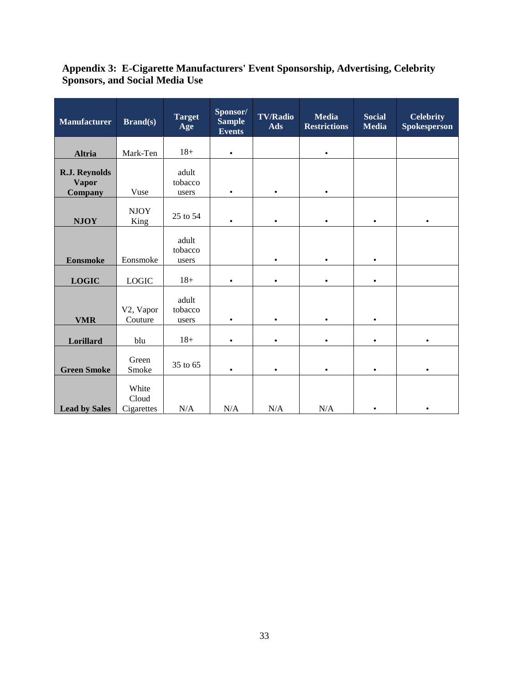#### **Appendix 3: E-Cigarette Manufacturers' Event Sponsorship, Advertising, Celebrity Sponsors, and Social Media Use**

| <b>Manufacturer</b>                             | <b>Brand(s)</b>              | <b>Target</b><br>Age      | Sponsor/<br><b>Sample</b><br><b>Events</b> | <b>TV/Radio</b><br>Ads | <b>Media</b><br><b>Restrictions</b> | <b>Social</b><br><b>Media</b> | <b>Celebrity</b><br><b>Spokesperson</b> |
|-------------------------------------------------|------------------------------|---------------------------|--------------------------------------------|------------------------|-------------------------------------|-------------------------------|-----------------------------------------|
| <b>Altria</b>                                   | Mark-Ten                     | $18+$                     | $\bullet$                                  |                        | $\bullet$                           |                               |                                         |
| R.J. Reynolds<br><b>Vapor</b><br><b>Company</b> | Vuse                         | adult<br>tobacco<br>users | $\bullet$                                  | $\bullet$              | ٠                                   |                               |                                         |
| <b>NJOY</b>                                     | <b>NJOY</b><br>King          | 25 to 54                  | $\bullet$                                  | $\bullet$              | ٠                                   | ٠                             | $\bullet$                               |
| <b>Eonsmoke</b>                                 | Eonsmoke                     | adult<br>tobacco<br>users |                                            | $\bullet$              | $\bullet$                           | $\bullet$                     |                                         |
| <b>LOGIC</b>                                    | <b>LOGIC</b>                 | $18+$                     | $\bullet$                                  | $\bullet$              | $\bullet$                           | $\bullet$                     |                                         |
| <b>VMR</b>                                      | V2, Vapor<br>Couture         | adult<br>tobacco<br>users | $\bullet$                                  | $\bullet$              | $\bullet$                           | $\bullet$                     |                                         |
| Lorillard                                       | blu                          | $18+$                     | $\bullet$                                  | $\bullet$              | $\bullet$                           | $\bullet$                     |                                         |
| <b>Green Smoke</b>                              | Green<br>Smoke               | 35 to 65                  | ٠                                          | $\bullet$              | ٠                                   | ٠                             | $\bullet$                               |
| <b>Lead by Sales</b>                            | White<br>Cloud<br>Cigarettes | N/A                       | N/A                                        | N/A                    | N/A                                 | $\bullet$                     | $\bullet$                               |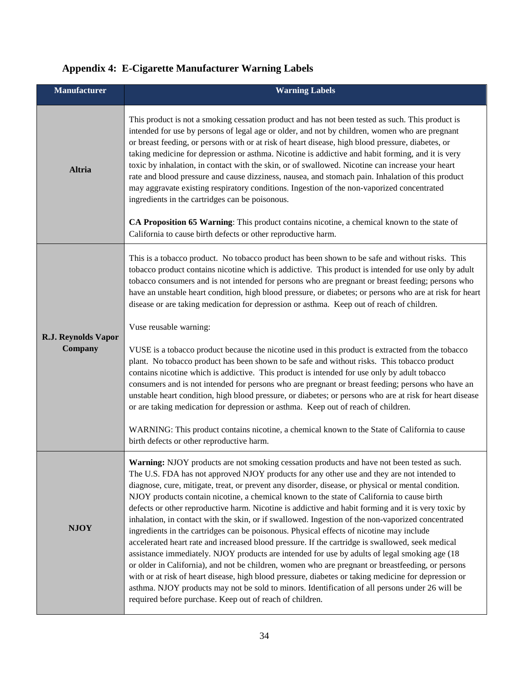| <b>Manufacturer</b>        | <b>Warning Labels</b>                                                                                                                                                                                                                                                                                                                                                                                                                                                                                                                                                                                                                                                                                                                                                                                                                                                                                                                  |
|----------------------------|----------------------------------------------------------------------------------------------------------------------------------------------------------------------------------------------------------------------------------------------------------------------------------------------------------------------------------------------------------------------------------------------------------------------------------------------------------------------------------------------------------------------------------------------------------------------------------------------------------------------------------------------------------------------------------------------------------------------------------------------------------------------------------------------------------------------------------------------------------------------------------------------------------------------------------------|
| <b>Altria</b>              | This product is not a smoking cessation product and has not been tested as such. This product is<br>intended for use by persons of legal age or older, and not by children, women who are pregnant<br>or breast feeding, or persons with or at risk of heart disease, high blood pressure, diabetes, or<br>taking medicine for depression or asthma. Nicotine is addictive and habit forming, and it is very<br>toxic by inhalation, in contact with the skin, or of swallowed. Nicotine can increase your heart<br>rate and blood pressure and cause dizziness, nausea, and stomach pain. Inhalation of this product<br>may aggravate existing respiratory conditions. Ingestion of the non-vaporized concentrated<br>ingredients in the cartridges can be poisonous.<br>CA Proposition 65 Warning: This product contains nicotine, a chemical known to the state of<br>California to cause birth defects or other reproductive harm. |
| <b>R.J. Reynolds Vapor</b> | This is a tobacco product. No tobacco product has been shown to be safe and without risks. This<br>tobacco product contains nicotine which is addictive. This product is intended for use only by adult<br>tobacco consumers and is not intended for persons who are pregnant or breast feeding; persons who<br>have an unstable heart condition, high blood pressure, or diabetes; or persons who are at risk for heart<br>disease or are taking medication for depression or asthma. Keep out of reach of children.<br>Vuse reusable warning:                                                                                                                                                                                                                                                                                                                                                                                        |
| Company                    | VUSE is a tobacco product because the nicotine used in this product is extracted from the tobacco<br>plant. No tobacco product has been shown to be safe and without risks. This tobacco product<br>contains nicotine which is addictive. This product is intended for use only by adult tobacco<br>consumers and is not intended for persons who are pregnant or breast feeding; persons who have an<br>unstable heart condition, high blood pressure, or diabetes; or persons who are at risk for heart disease<br>or are taking medication for depression or asthma. Keep out of reach of children.<br>WARNING: This product contains nicotine, a chemical known to the State of California to cause<br>birth defects or other reproductive harm.                                                                                                                                                                                   |
| <b>NJOY</b>                | Warning: NJOY products are not smoking cessation products and have not been tested as such.<br>The U.S. FDA has not approved NJOY products for any other use and they are not intended to<br>diagnose, cure, mitigate, treat, or prevent any disorder, disease, or physical or mental condition.<br>NJOY products contain nicotine, a chemical known to the state of California to cause birth<br>defects or other reproductive harm. Nicotine is addictive and habit forming and it is very toxic by<br>inhalation, in contact with the skin, or if swallowed. Ingestion of the non-vaporized concentrated<br>ingredients in the cartridges can be poisonous. Physical effects of nicotine may include<br>accelerated heart rate and increased blood pressure. If the cartridge is swallowed, seek medical<br>assistance immediately. NJOY products are intended for use by adults of legal smoking age (18)                          |

#### **Appendix 4: E-Cigarette Manufacturer Warning Labels**

assistance immediately. NJOY products are intended for use by adults of legal smoking age (18 or older in California), and not be children, women who are pregnant or breastfeeding, or persons with or at risk of heart disease, high blood pressure, diabetes or taking medicine for depression or asthma. NJOY products may not be sold to minors. Identification of all persons under 26 will be required before purchase. Keep out of reach of children.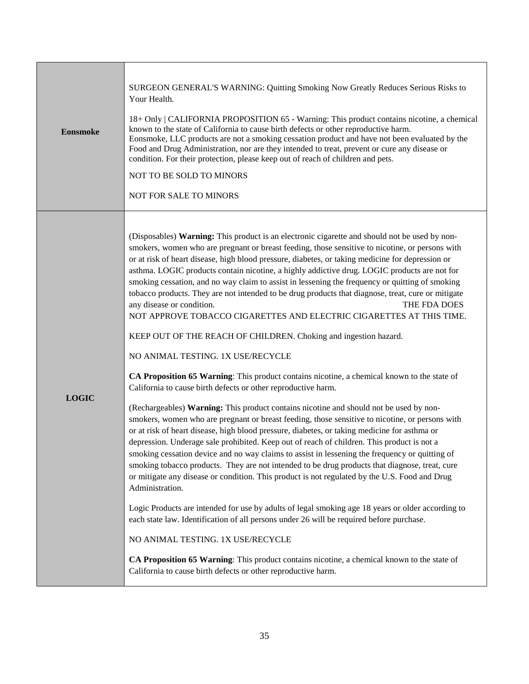| <b>Eonsmoke</b> | SURGEON GENERAL'S WARNING: Quitting Smoking Now Greatly Reduces Serious Risks to<br>Your Health.<br>18+ Only   CALIFORNIA PROPOSITION 65 - Warning: This product contains nicotine, a chemical<br>known to the state of California to cause birth defects or other reproductive harm.<br>Eonsmoke, LLC products are not a smoking cessation product and have not been evaluated by the<br>Food and Drug Administration, nor are they intended to treat, prevent or cure any disease or<br>condition. For their protection, please keep out of reach of children and pets.<br>NOT TO BE SOLD TO MINORS<br>NOT FOR SALE TO MINORS                                                                                                                                                                                                                                                                                                                                                                                                                                                                                                                                                                                                                                                                                                                                                                                                                                                                                                                                                                                                                                                                                                                                                                                                                                                                                                                                                                                                                                                                                                      |
|-----------------|--------------------------------------------------------------------------------------------------------------------------------------------------------------------------------------------------------------------------------------------------------------------------------------------------------------------------------------------------------------------------------------------------------------------------------------------------------------------------------------------------------------------------------------------------------------------------------------------------------------------------------------------------------------------------------------------------------------------------------------------------------------------------------------------------------------------------------------------------------------------------------------------------------------------------------------------------------------------------------------------------------------------------------------------------------------------------------------------------------------------------------------------------------------------------------------------------------------------------------------------------------------------------------------------------------------------------------------------------------------------------------------------------------------------------------------------------------------------------------------------------------------------------------------------------------------------------------------------------------------------------------------------------------------------------------------------------------------------------------------------------------------------------------------------------------------------------------------------------------------------------------------------------------------------------------------------------------------------------------------------------------------------------------------------------------------------------------------------------------------------------------------|
| <b>LOGIC</b>    | (Disposables) Warning: This product is an electronic cigarette and should not be used by non-<br>smokers, women who are pregnant or breast feeding, those sensitive to nicotine, or persons with<br>or at risk of heart disease, high blood pressure, diabetes, or taking medicine for depression or<br>asthma. LOGIC products contain nicotine, a highly addictive drug. LOGIC products are not for<br>smoking cessation, and no way claim to assist in lessening the frequency or quitting of smoking<br>tobacco products. They are not intended to be drug products that diagnose, treat, cure or mitigate<br>any disease or condition.<br>THE FDA DOES<br>NOT APPROVE TOBACCO CIGARETTES AND ELECTRIC CIGARETTES AT THIS TIME.<br>KEEP OUT OF THE REACH OF CHILDREN. Choking and ingestion hazard.<br>NO ANIMAL TESTING. 1X USE/RECYCLE<br>CA Proposition 65 Warning: This product contains nicotine, a chemical known to the state of<br>California to cause birth defects or other reproductive harm.<br>(Rechargeables) Warning: This product contains nicotine and should not be used by non-<br>smokers, women who are pregnant or breast feeding, those sensitive to nicotine, or persons with<br>or at risk of heart disease, high blood pressure, diabetes, or taking medicine for asthma or<br>depression. Underage sale prohibited. Keep out of reach of children. This product is not a<br>smoking cessation device and no way claims to assist in lessening the frequency or quitting of<br>smoking tobacco products. They are not intended to be drug products that diagnose, treat, cure<br>or mitigate any disease or condition. This product is not regulated by the U.S. Food and Drug<br>Administration.<br>Logic Products are intended for use by adults of legal smoking age 18 years or older according to<br>each state law. Identification of all persons under 26 will be required before purchase.<br>NO ANIMAL TESTING. 1X USE/RECYCLE<br>CA Proposition 65 Warning: This product contains nicotine, a chemical known to the state of<br>California to cause birth defects or other reproductive harm. |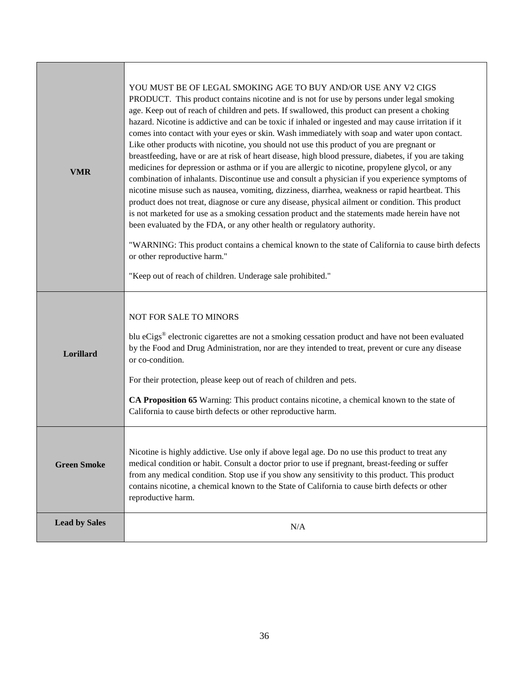| <b>VMR</b>           | YOU MUST BE OF LEGAL SMOKING AGE TO BUY AND/OR USE ANY V2 CIGS<br>PRODUCT. This product contains nicotine and is not for use by persons under legal smoking<br>age. Keep out of reach of children and pets. If swallowed, this product can present a choking<br>hazard. Nicotine is addictive and can be toxic if inhaled or ingested and may cause irritation if it<br>comes into contact with your eyes or skin. Wash immediately with soap and water upon contact.<br>Like other products with nicotine, you should not use this product of you are pregnant or<br>breastfeeding, have or are at risk of heart disease, high blood pressure, diabetes, if you are taking<br>medicines for depression or asthma or if you are allergic to nicotine, propylene glycol, or any<br>combination of inhalants. Discontinue use and consult a physician if you experience symptoms of<br>nicotine misuse such as nausea, vomiting, dizziness, diarrhea, weakness or rapid heartbeat. This<br>product does not treat, diagnose or cure any disease, physical ailment or condition. This product<br>is not marketed for use as a smoking cessation product and the statements made herein have not<br>been evaluated by the FDA, or any other health or regulatory authority.<br>"WARNING: This product contains a chemical known to the state of California to cause birth defects<br>or other reproductive harm."<br>"Keep out of reach of children. Underage sale prohibited." |
|----------------------|-----------------------------------------------------------------------------------------------------------------------------------------------------------------------------------------------------------------------------------------------------------------------------------------------------------------------------------------------------------------------------------------------------------------------------------------------------------------------------------------------------------------------------------------------------------------------------------------------------------------------------------------------------------------------------------------------------------------------------------------------------------------------------------------------------------------------------------------------------------------------------------------------------------------------------------------------------------------------------------------------------------------------------------------------------------------------------------------------------------------------------------------------------------------------------------------------------------------------------------------------------------------------------------------------------------------------------------------------------------------------------------------------------------------------------------------------------------------------------|
| Lorillard            | NOT FOR SALE TO MINORS<br>blu eCigs® electronic cigarettes are not a smoking cessation product and have not been evaluated<br>by the Food and Drug Administration, nor are they intended to treat, prevent or cure any disease<br>or co-condition.<br>For their protection, please keep out of reach of children and pets.<br>CA Proposition 65 Warning: This product contains nicotine, a chemical known to the state of<br>California to cause birth defects or other reproductive harm.                                                                                                                                                                                                                                                                                                                                                                                                                                                                                                                                                                                                                                                                                                                                                                                                                                                                                                                                                                                  |
| <b>Green Smoke</b>   | Nicotine is highly addictive. Use only if above legal age. Do no use this product to treat any<br>medical condition or habit. Consult a doctor prior to use if pregnant, breast-feeding or suffer<br>from any medical condition. Stop use if you show any sensitivity to this product. This product<br>contains nicotine, a chemical known to the State of California to cause birth defects or other<br>reproductive harm.                                                                                                                                                                                                                                                                                                                                                                                                                                                                                                                                                                                                                                                                                                                                                                                                                                                                                                                                                                                                                                                 |
| <b>Lead by Sales</b> | N/A                                                                                                                                                                                                                                                                                                                                                                                                                                                                                                                                                                                                                                                                                                                                                                                                                                                                                                                                                                                                                                                                                                                                                                                                                                                                                                                                                                                                                                                                         |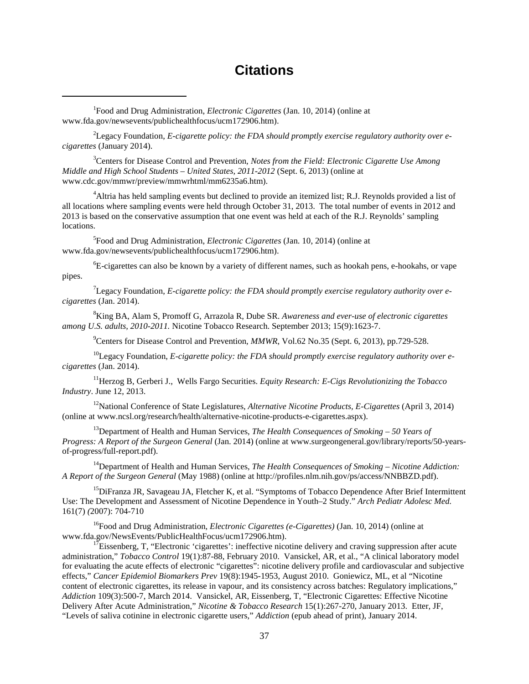#### **Citations**

<span id="page-39-0"></span><sup>1</sup>Food and Drug Administration, *Electronic Cigarettes* (Jan. 10, 2014) (online at www.fda.gov/newsevents/publichealthfocus/ucm172906.htm).

 $\overline{\phantom{a}}$ 

<span id="page-39-1"></span>2 Legacy Foundation, *E-cigarette policy: the FDA should promptly exercise regulatory authority over ecigarettes* (January 2014).

<span id="page-39-2"></span>3 Centers for Disease Control and Prevention, *Notes from the Field: Electronic Cigarette Use Among Middle and High School Students – United States, 2011-2012* (Sept. 6, 2013) (online at www.cdc.gov/mmwr/preview/mmwrhtml/mm6235a6.htm).

<span id="page-39-3"></span><sup>4</sup>Altria has held sampling events but declined to provide an itemized list; R.J. Reynolds provided a list of all locations where sampling events were held through October 31, 2013. The total number of events in 2012 and 2013 is based on the conservative assumption that one event was held at each of the R.J. Reynolds' sampling locations.

5 Food and Drug Administration, *Electronic Cigarettes* (Jan. 10, 2014) (online at www.fda.gov/newsevents/publichealthfocus/ucm172906.htm).

6 E-cigarettes can also be known by a variety of different names, such as hookah pens, e-hookahs, or vape pipes.

7 Legacy Foundation, *E-cigarette policy: the FDA should promptly exercise regulatory authority over ecigarettes* (Jan. 2014).

8 King BA, Alam S, Promoff G, Arrazola R, Dube SR. *Awareness and ever-use of electronic cigarettes among U.S. adults, 2010-2011.* Nicotine Tobacco Research. September 2013; 15(9):1623-7.

<sup>9</sup> Centers for Disease Control and Prevention, *MMWR*, Vol.62 No.35 (Sept. 6, 2013), pp.729-528.

<sup>10</sup>Legacy Foundation, *E-cigarette policy: the FDA should promptly exercise regulatory authority over ecigarettes* (Jan. 2014).

11Herzog B, Gerberi J., Wells Fargo Securities. *Equity Research: E-Cigs Revolutionizing the Tobacco Industry*. June 12, 2013.

12National Conference of State Legislatures, *Alternative Nicotine Products, E-Cigarettes* (April 3, 2014) (online at www.ncsl.org/research/health/alternative-nicotine-products-e-cigarettes.aspx).

13Department of Health and Human Services, *The Health Consequences of Smoking – 50 Years of Progress: A Report of the Surgeon General* (Jan. 2014) (online at www.surgeongeneral.gov/library/reports/50-yearsof-progress/full-report.pdf).

14Department of Health and Human Services, *The Health Consequences of Smoking – Nicotine Addiction: A Report of the Surgeon General* (May 1988) (online at [http://profiles.nlm.nih.gov/ps/access/NNBBZD.pdf\)](http://profiles.nlm.nih.gov/ps/access/NNBBZD.pdf).

<sup>15</sup>DiFranza JR, Savageau JA, Fletcher K, et al. "Symptoms of Tobacco Dependence After Brief Intermittent Use: The Development and Assessment of Nicotine Dependence in Youth–2 Study." *Arch Pediatr Adolesc Med.* 161(7) *(*2007): 704-710

<sup>16</sup>Food and Drug Administration, *Electronic Cigarettes (e-Cigarettes)* (Jan. 10, 2014) (online at www.fda.gov/NewsEvents/PublicHealthFocus/ucm172906.htm).

<sup>17</sup>Eissenberg, T, "Electronic 'cigarettes': ineffective nicotine delivery and craving suppression after acute administration," *Tobacco Control* 19(1):87-88, February 2010. Vansickel, AR, et al., "A clinical laboratory model for evaluating the acute effects of electronic "cigarettes": nicotine delivery profile and cardiovascular and subjective effects," *Cancer Epidemiol Biomarkers Prev* 19(8):1945-1953, August 2010. Goniewicz, ML, et al "Nicotine content of electronic cigarettes, its release in vapour, and its consistency across batches: Regulatory implications," *Addiction* 109(3):500-7, March 2014. Vansickel, AR, Eissenberg, T, "Electronic Cigarettes: Effective Nicotine Delivery After Acute Administration," *Nicotine & Tobacco Research* 15(1):267-270, January 2013. Etter, JF, "Levels of saliva cotinine in electronic cigarette users," *Addiction* (epub ahead of print), January 2014.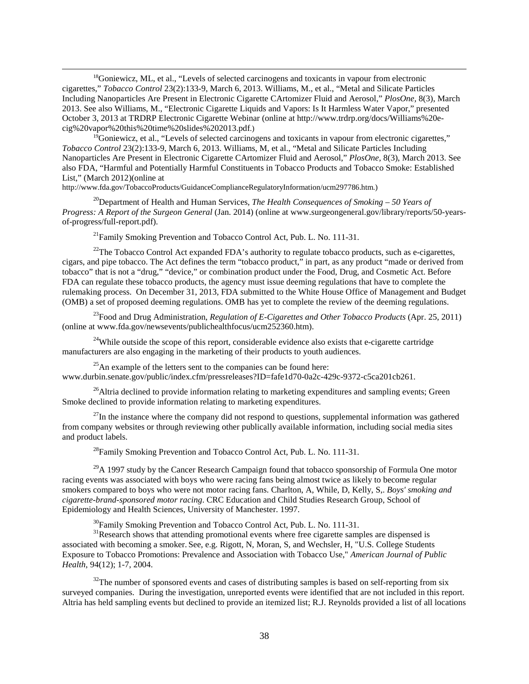<sup>18</sup>Goniewicz, ML, et al., "Levels of selected carcinogens and toxicants in vapour from electronic cigarettes," *Tobacco Control* 23(2):133-9, March 6, 2013. Williams, M., et al., "Metal and Silicate Particles Including Nanoparticles Are Present in Electronic Cigarette CArtomizer Fluid and Aerosol," *PlosOne,* 8(3), March 2013. See also Williams, M., "Electronic Cigarette Liquids and Vapors: Is It Harmless Water Vapor," presented October 3, 2013 at TRDRP Electronic Cigarette Webinar (online at http://www.trdrp.org/docs/Williams%20e-cig%20vapor%20this%20time%20slides%202013.pdf.)

 $^{19}$ Goniewicz, et al., "Levels of selected carcinogens and toxicants in vapour from electronic cigarettes," *Tobacco Control* 23(2):133-9, March 6, 2013. Williams, M, et al., "Metal and Silicate Particles Including Nanoparticles Are Present in Electronic Cigarette CArtomizer Fluid and Aerosol," *PlosOne,* 8(3), March 2013. See also FDA, "Harmful and Potentially Harmful Constituents in Tobacco Products and Tobacco Smoke: Established List," (March 2012)(online at

[http://www.fda.gov/TobaccoProducts/GuidanceComplianceRegulatoryInformation/ucm297786.htm.](http://www.fda.gov/TobaccoProducts/GuidanceComplianceRegulatoryInformation/ucm297786.htm))

**.** 

20Department of Health and Human Services, *The Health Consequences of Smoking – 50 Years of Progress: A Report of the Surgeon General* (Jan. 2014) (online at www.surgeongeneral.gov/library/reports/50-yearsof-progress/full-report.pdf).

 $^{21}$ Family Smoking Prevention and Tobacco Control Act, Pub. L. No. 111-31.

<span id="page-40-1"></span><span id="page-40-0"></span> $^{22}$ The Tobacco Control Act expanded FDA's authority to regulate tobacco products, such as e-cigarettes, cigars, and pipe tobacco. The Act defines the term "tobacco product," in part, as any product "made or derived from tobacco" that is not a "drug," "device," or combination product under the Food, Drug, and Cosmetic Act. Before FDA can regulate these tobacco products, the agency must issue deeming regulations that have to complete the rulemaking process. On December 31, 2013, FDA submitted to the White House Office of Management and Budget (OMB) a set of proposed deeming regulations. OMB has yet to complete the review of the deeming regulations.

<span id="page-40-3"></span><span id="page-40-2"></span>23Food and Drug Administration, *Regulation of E-Cigarettes and Other Tobacco Products* (Apr. 25, 2011) (online at www.fda.gov/newsevents/publichealthfocus/ucm252360.htm).

<span id="page-40-4"></span><sup>24</sup>While outside the scope of this report, considerable evidence also exists that e-cigarette cartridge manufacturers are also engaging in the marketing of their products to youth audiences.

<span id="page-40-5"></span> $^{25}$ An example of the letters sent to the companies can be found here: www.durbin.senate.gov/public/index.cfm/pressreleases?ID=fafe1d70-0a2c-429c-9372-c5ca201cb261.

<span id="page-40-6"></span><sup>26</sup>Altria declined to provide information relating to marketing expenditures and sampling events; Green Smoke declined to provide information relating to marketing expenditures.

<span id="page-40-7"></span> $^{27}$ In the instance where the company did not respond to questions, supplemental information was gathered from company websites or through reviewing other publically available information, including social media sites and product labels.

 $^{28}$ Family Smoking Prevention and Tobacco Control Act, Pub. L. No. 111-31.

 $^{29}$ A 1997 study by the Cancer Research Campaign found that tobacco sponsorship of Formula One motor racing events was associated with boys who were racing fans being almost twice as likely to become regular smokers compared to boys who were not motor racing fans. Charlton, A, While, D, Kelly, S,. *Boys' smoking and cigarette-brand-sponsored motor racing*. CRC Education and Child Studies Research Group, School of Epidemiology and Health Sciences, University of Manchester. 1997.

<sup>30</sup>Family Smoking Prevention and Tobacco Control Act, Pub. L. No. 111-31.<br><sup>31</sup>Research shows that attending promotional events where free cigarette samples are dispensed is associated with becoming a smoker. See, e.g. Rigott, N, Moran, S, and Wechsler, H, "U.S. College Students Exposure to Tobacco Promotions: Prevalence and Association with Tobacco Use," *American Journal of Public Health*, 94(12); 1-7, 2004.

 $32$ The number of sponsored events and cases of distributing samples is based on self-reporting from six surveyed companies. During the investigation, unreported events were identified that are not included in this report. Altria has held sampling events but declined to provide an itemized list; R.J. Reynolds provided a list of all locations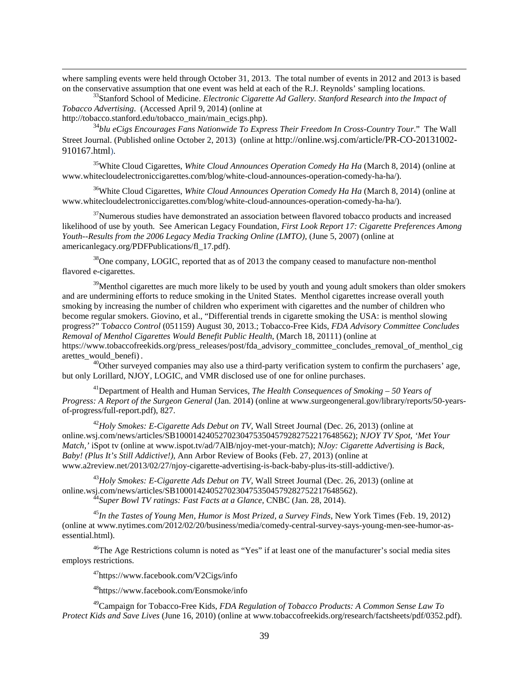<span id="page-41-5"></span>where sampling events were held through October 31, 2013. The total number of events in 2012 and 2013 is based on the conservative assumption that one event was held at each of the R.J. Reynolds' sampling locations. 33Stanford School of Medicine. *Electronic Cigarette Ad Gallery. Stanford Research into the Impact of* 

*Tobacco Advertising*. (Accessed April 9, 2014) (online at

[http://tobacco.stanford.edu/tobacco\\_main/main\\_ecigs.php\)](http://tobacco.stanford.edu/tobacco_main/main_ecigs.php).

**.** 

<span id="page-41-6"></span><sup>34</sup>*blu eCigs Encourages Fans Nationwide To Express Their Freedom In Cross-Country Tour*." The Wall Street Journal. (Published online October 2, 2013) (online at http://online.wsj.com/article/PR-CO-20131002- 910167.html).

35White Cloud Cigarettes, *White Cloud Announces Operation Comedy Ha Ha* (March 8, 2014) (online at [www.whitecloudelectroniccigarettes.com/blog/white-cloud-announces-operation-comedy-ha-ha/\)](http://www.whitecloudelectroniccigarettes.com/blog/white-cloud-announces-operation-comedy-ha-ha/).

36White Cloud Cigarettes, *White Cloud Announces Operation Comedy Ha Ha* (March 8, 2014) (online at www.whitecloudelectroniccigarettes.com/blog/white-cloud-announces-operation-comedy-ha-ha/).

 $37$ Numerous studies have demonstrated an association between flavored tobacco products and increased likelihood of use by youth. See American Legacy Foundation, *First Look Report 17: Cigarette Preferences Among Youth--Results from the 2006 Legacy Media Tracking Online (LMTO),* (June 5, 2007) (online at americanlegacy.org/PDFPublications/fl\_17.pdf).

<sup>38</sup>One company, LOGIC, reported that as of 2013 the company ceased to manufacture non-menthol flavored e-cigarettes.

 $39$ Menthol cigarettes are much more likely to be used by youth and young adult smokers than older smokers and are undermining efforts to reduce smoking in the United States. Menthol cigarettes increase overall youth smoking by increasing the number of children who experiment with cigarettes and the number of children who become regular smokers. Giovino, et al., "Differential trends in cigarette smoking the USA: is menthol slowing progress?" T*obacco Control* (051159) August 30, 2013.; Tobacco-Free Kids, *FDA Advisory Committee Concludes Removal of Menthol Cigarettes Would Benefit Public Health*, (March 18, 20111) (online at [https://www.tobaccofreekids.org/press\\_releases/post/fda\\_advisory\\_committee\\_concludes\\_removal\\_of\\_menthol\\_cig](https://www.tobaccofreekids.org/press_releases/post/fda_advisory_committee_concludes_removal_of_menthol_cigarettes_would_benefi) [arettes\\_would\\_benefi\)](https://www.tobaccofreekids.org/press_releases/post/fda_advisory_committee_concludes_removal_of_menthol_cigarettes_would_benefi) .  $^{40}$ Other surveyed companies may also use a third-party verification system to confirm the purchasers' age,

but only Lorillard, NJOY, LOGIC, and VMR disclosed use of one for online purchases.

41Department of Health and Human Services, *The Health Consequences of Smoking – 50 Years of Progress: A Report of the Surgeon General* (Jan. 2014) (online at www.surgeongeneral.gov/library/reports/50-yearsof-progress/full-report.pdf), 827.

<span id="page-41-0"></span><sup>42</sup>*Holy Smokes: E-Cigarette Ads Debut on TV*, Wall Street Journal (Dec. 26, 2013) (online at [online.wsj.com/news/articles/SB10001424052702304753504579282752217648562\)](http://online.wsj.com/news/articles/SB10001424052702304753504579282752217648562); *NJOY TV Spot, 'Met Your Match,'* iSpot tv (online at [www.ispot.tv/ad/7AlB/njoy-met-your-match\)](http://www.ispot.tv/ad/7AlB/njoy-met-your-match); *NJoy: Cigarette Advertising is Back, Baby! (Plus It's Still Addictive!),* Ann Arbor Review of Books (Feb. 27, 2013) (online at [www.a2review.net/2013/02/27/njoy-cigarette-advertising-is-back-baby-plus-its-still-addictive/\)](http://www.a2review.net/2013/02/27/njoy-cigarette-advertising-is-back-baby-plus-its-still-addictive/).

<span id="page-41-2"></span><span id="page-41-1"></span><sup>43</sup>*Holy Smokes: E-Cigarette Ads Debut on TV*, Wall Street Journal (Dec. 26, 2013) (online at [online.wsj.com/news/articles/SB10001424052702304753504579282752217648562\)](http://online.wsj.com/news/articles/SB10001424052702304753504579282752217648562). <sup>44</sup>*Super Bowl TV ratings: Fast Facts at a Glance,* CNBC (Jan. 28, 2014).

<span id="page-41-3"></span><sup>45</sup>*In the Tastes of Young Men, Humor is Most Prized, a Survey Finds*, New York Times (Feb. 19, 2012) (online at www.nytimes.com/2012/02/20/business/media/comedy-central-survey-says-young-men-see-humor-asessential.html).

<span id="page-41-4"></span> $46$ The Age Restrictions column is noted as "Yes" if at least one of the manufacturer's social media sites employs restrictions.

47https://www.facebook.com/V2Cigs/info

48https://www.facebook.com/Eonsmoke/info

49Campaign for Tobacco-Free Kids, *FDA Regulation of Tobacco Products: A Common Sense Law To Protect Kids and Save Lives* (June 16, 2010) (online at [www.tobaccofreekids.org/research/factsheets/pdf/0352.pdf\)](https://www.tobaccofreekids.org/research/factsheets/pdf/0352.pdf).